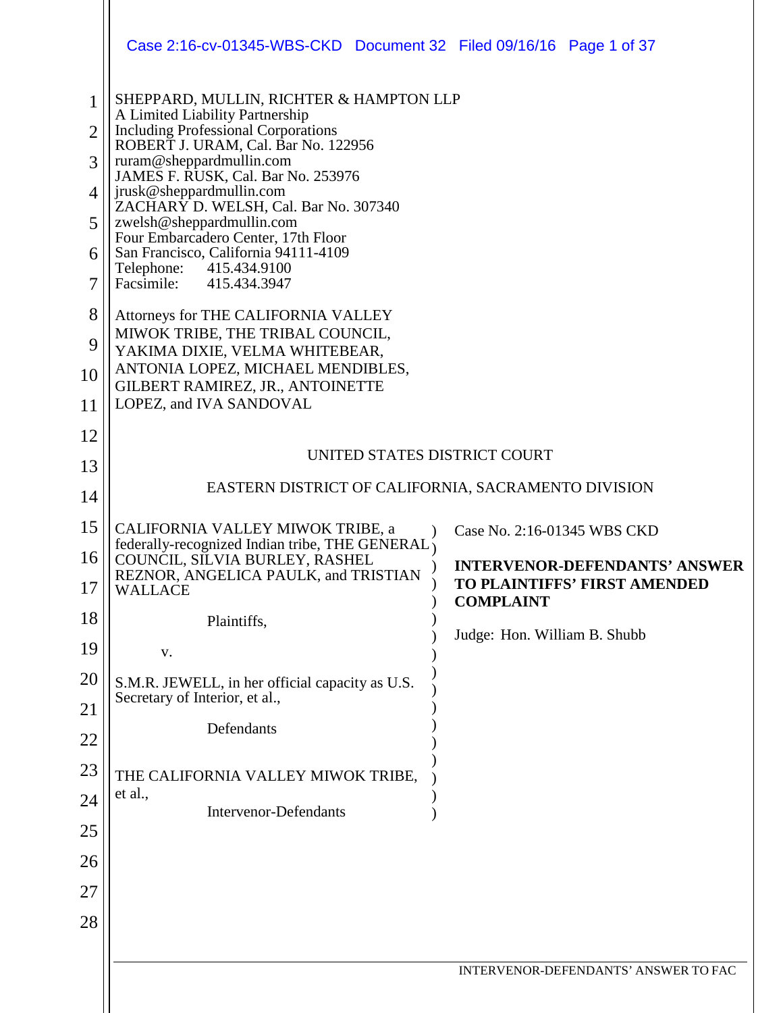|                                | Case 2:16-cv-01345-WBS-CKD  Document 32  Filed 09/16/16  Page 1 of 37                                                    |                                                  |  |
|--------------------------------|--------------------------------------------------------------------------------------------------------------------------|--------------------------------------------------|--|
| $\mathbf{1}$<br>$\overline{2}$ | SHEPPARD, MULLIN, RICHTER & HAMPTON LLP<br>A Limited Liability Partnership<br><b>Including Professional Corporations</b> |                                                  |  |
| 3                              | ROBERT J. URAM, Cal. Bar No. 122956<br>ruram@sheppardmullin.com                                                          |                                                  |  |
| 4                              | JAMES F. RUSK, Cal. Bar No. 253976<br>jrusk@sheppardmullin.com                                                           |                                                  |  |
| 5                              | ZACHARY D. WELSH, Cal. Bar No. 307340<br>zwelsh@sheppardmullin.com<br>Four Embarcadero Center, 17th Floor                |                                                  |  |
| 6                              | San Francisco, California 94111-4109<br>Telephone:<br>415.434.9100                                                       |                                                  |  |
| 7                              | Facsimile:<br>415.434.3947                                                                                               |                                                  |  |
| 8<br>9                         | Attorneys for THE CALIFORNIA VALLEY<br>MIWOK TRIBE, THE TRIBAL COUNCIL,<br>YAKIMA DIXIE, VELMA WHITEBEAR,                |                                                  |  |
| 10                             | ANTONIA LOPEZ, MICHAEL MENDIBLES,<br>GILBERT RAMIREZ, JR., ANTOINETTE                                                    |                                                  |  |
| 11                             | LOPEZ, and IVA SANDOVAL                                                                                                  |                                                  |  |
| 12                             |                                                                                                                          |                                                  |  |
| 13                             | UNITED STATES DISTRICT COURT                                                                                             |                                                  |  |
| 14                             | EASTERN DISTRICT OF CALIFORNIA, SACRAMENTO DIVISION                                                                      |                                                  |  |
| 15                             | CALIFORNIA VALLEY MIWOK TRIBE, a<br>federally-recognized Indian tribe, THE GENERAL                                       | Case No. 2:16-01345 WBS CKD                      |  |
| 16                             | COUNCIL, SILVIA BURLEY, RASHEL<br>REZNOR, ANGELICA PAULK, and TRISTIAN                                                   | <b>INTERVENOR-DEFENDANTS' ANSWER</b>             |  |
| 17                             | WALLACE                                                                                                                  | TO PLAINTIFFS' FIRST AMENDED<br><b>COMPLAINT</b> |  |
| 18                             | Plaintiffs,                                                                                                              | Judge: Hon. William B. Shubb                     |  |
| 19                             | V.                                                                                                                       |                                                  |  |
| 20                             | S.M.R. JEWELL, in her official capacity as U.S.<br>Secretary of Interior, et al.,                                        |                                                  |  |
| 21                             | Defendants                                                                                                               |                                                  |  |
| 22                             |                                                                                                                          |                                                  |  |
| 23<br>24                       | THE CALIFORNIA VALLEY MIWOK TRIBE,<br>et al.,                                                                            |                                                  |  |
| 25                             | <b>Intervenor-Defendants</b>                                                                                             |                                                  |  |
| 26                             |                                                                                                                          |                                                  |  |
| 27                             |                                                                                                                          |                                                  |  |
| 28                             |                                                                                                                          |                                                  |  |
|                                |                                                                                                                          |                                                  |  |
|                                |                                                                                                                          | INTERVENOR-DEFENDANTS' ANSWER TO FAC             |  |
|                                |                                                                                                                          |                                                  |  |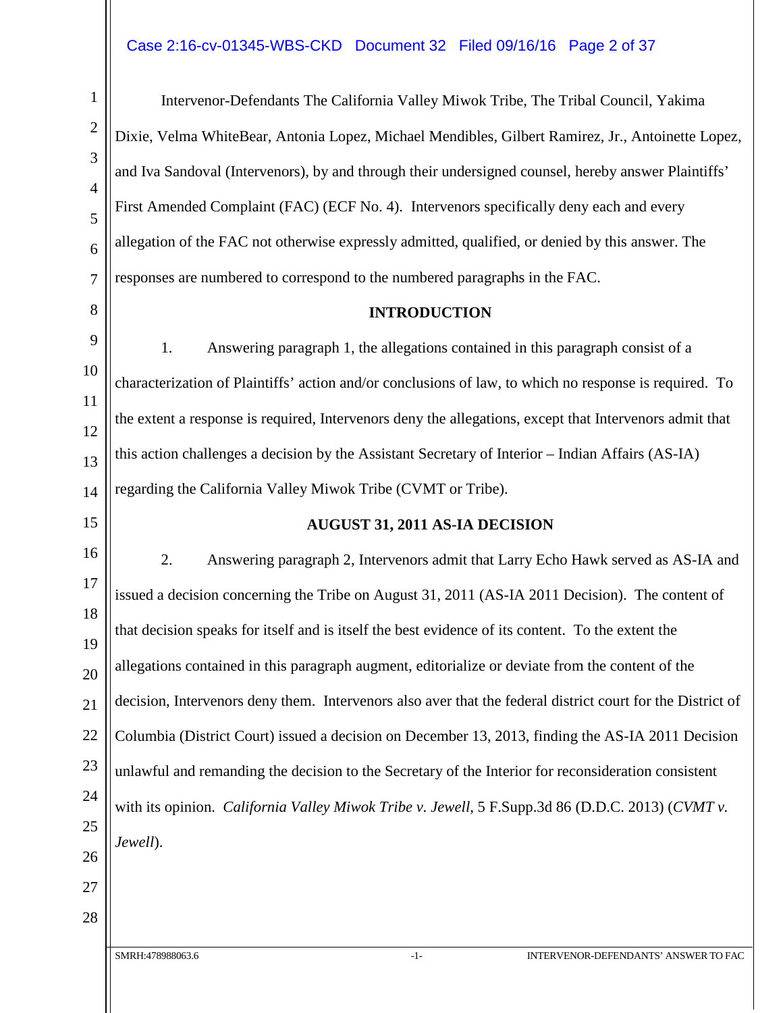#### Case 2:16-cv-01345-WBS-CKD Document 32 Filed 09/16/16 Page 2 of 37

Intervenor-Defendants The California Valley Miwok Tribe, The Tribal Council, Yakima Dixie, Velma WhiteBear, Antonia Lopez, Michael Mendibles, Gilbert Ramirez, Jr., Antoinette Lopez, and Iva Sandoval (Intervenors), by and through their undersigned counsel, hereby answer Plaintiffs' First Amended Complaint (FAC) (ECF No. 4). Intervenors specifically deny each and every allegation of the FAC not otherwise expressly admitted, qualified, or denied by this answer. The responses are numbered to correspond to the numbered paragraphs in the FAC.

#### **INTRODUCTION**

1. Answering paragraph 1, the allegations contained in this paragraph consist of a characterization of Plaintiffs' action and/or conclusions of law, to which no response is required. To the extent a response is required, Intervenors deny the allegations, except that Intervenors admit that this action challenges a decision by the Assistant Secretary of Interior – Indian Affairs (AS-IA) regarding the California Valley Miwok Tribe (CVMT or Tribe).

#### **AUGUST 31, 2011 AS-IA DECISION**

2. Answering paragraph 2, Intervenors admit that Larry Echo Hawk served as AS-IA and issued a decision concerning the Tribe on August 31, 2011 (AS-IA 2011 Decision). The content of that decision speaks for itself and is itself the best evidence of its content. To the extent the allegations contained in this paragraph augment, editorialize or deviate from the content of the decision, Intervenors deny them. Intervenors also aver that the federal district court for the District of Columbia (District Court) issued a decision on December 13, 2013, finding the AS-IA 2011 Decision unlawful and remanding the decision to the Secretary of the Interior for reconsideration consistent with its opinion. *California Valley Miwok Tribe v. Jewell*, 5 F.Supp.3d 86 (D.D.C. 2013) (*CVMT v. Jewell*).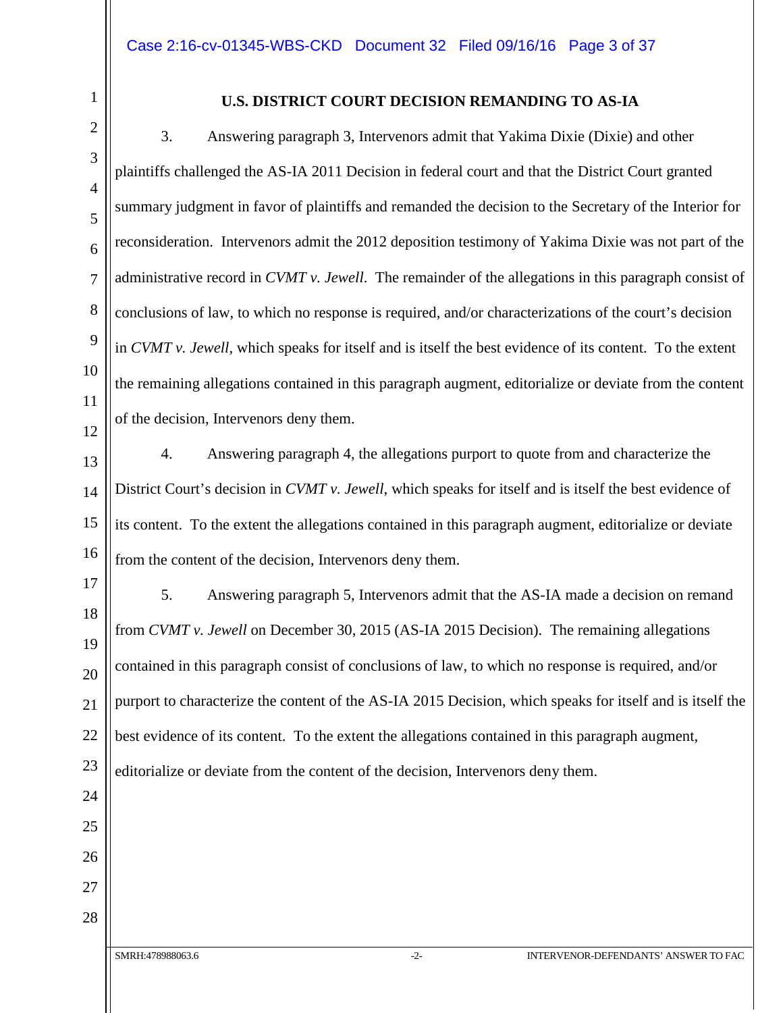24

25

26

27

28

#### **U.S. DISTRICT COURT DECISION REMANDING TO AS-IA**

3. Answering paragraph 3, Intervenors admit that Yakima Dixie (Dixie) and other plaintiffs challenged the AS-IA 2011 Decision in federal court and that the District Court granted summary judgment in favor of plaintiffs and remanded the decision to the Secretary of the Interior for reconsideration. Intervenors admit the 2012 deposition testimony of Yakima Dixie was not part of the administrative record in *CVMT v. Jewell*. The remainder of the allegations in this paragraph consist of conclusions of law, to which no response is required, and/or characterizations of the court's decision in *CVMT v. Jewell*, which speaks for itself and is itself the best evidence of its content. To the extent the remaining allegations contained in this paragraph augment, editorialize or deviate from the content of the decision, Intervenors deny them.

4. Answering paragraph 4, the allegations purport to quote from and characterize the District Court's decision in *CVMT v. Jewell*, which speaks for itself and is itself the best evidence of its content. To the extent the allegations contained in this paragraph augment, editorialize or deviate from the content of the decision, Intervenors deny them.

5. Answering paragraph 5, Intervenors admit that the AS-IA made a decision on remand from *CVMT v. Jewell* on December 30, 2015 (AS-IA 2015 Decision). The remaining allegations contained in this paragraph consist of conclusions of law, to which no response is required, and/or purport to characterize the content of the AS-IA 2015 Decision, which speaks for itself and is itself the best evidence of its content. To the extent the allegations contained in this paragraph augment, editorialize or deviate from the content of the decision, Intervenors deny them.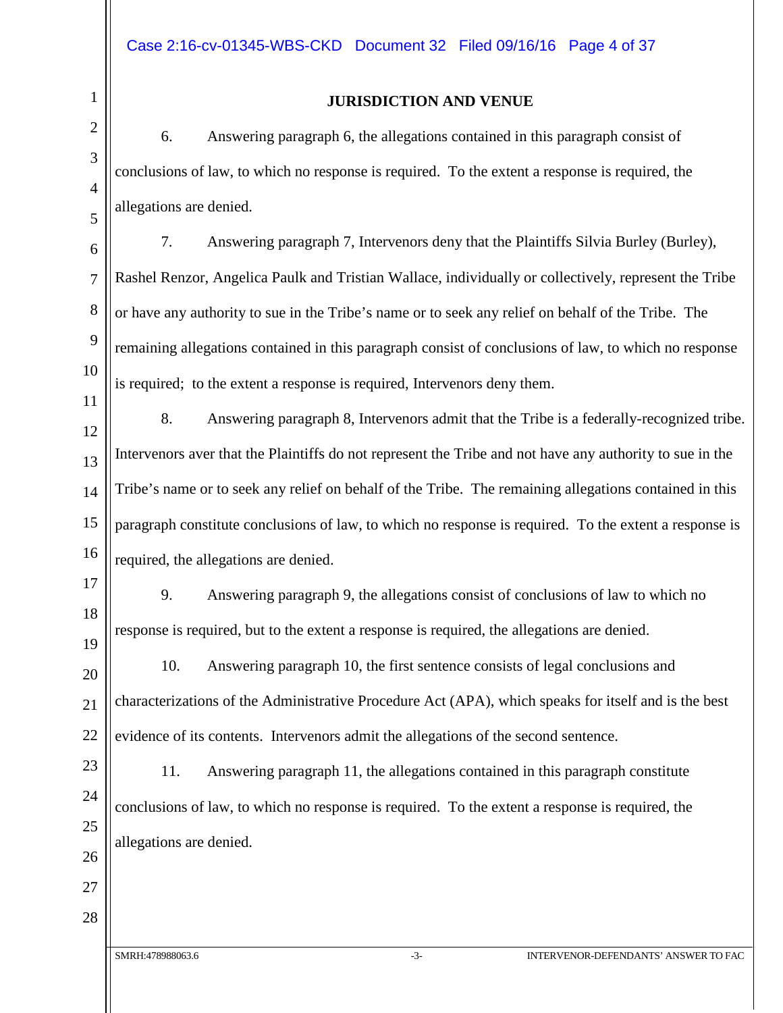#### **JURISDICTION AND VENUE**

6. Answering paragraph 6, the allegations contained in this paragraph consist of conclusions of law, to which no response is required. To the extent a response is required, the allegations are denied.

7. Answering paragraph 7, Intervenors deny that the Plaintiffs Silvia Burley (Burley), Rashel Renzor, Angelica Paulk and Tristian Wallace, individually or collectively, represent the Tribe or have any authority to sue in the Tribe's name or to seek any relief on behalf of the Tribe. The remaining allegations contained in this paragraph consist of conclusions of law, to which no response is required; to the extent a response is required, Intervenors deny them.

8. Answering paragraph 8, Intervenors admit that the Tribe is a federally-recognized tribe. Intervenors aver that the Plaintiffs do not represent the Tribe and not have any authority to sue in the Tribe's name or to seek any relief on behalf of the Tribe. The remaining allegations contained in this paragraph constitute conclusions of law, to which no response is required. To the extent a response is required, the allegations are denied.

9. Answering paragraph 9, the allegations consist of conclusions of law to which no response is required, but to the extent a response is required, the allegations are denied.

10. Answering paragraph 10, the first sentence consists of legal conclusions and characterizations of the Administrative Procedure Act (APA), which speaks for itself and is the best evidence of its contents. Intervenors admit the allegations of the second sentence.

11. Answering paragraph 11, the allegations contained in this paragraph constitute conclusions of law, to which no response is required. To the extent a response is required, the allegations are denied.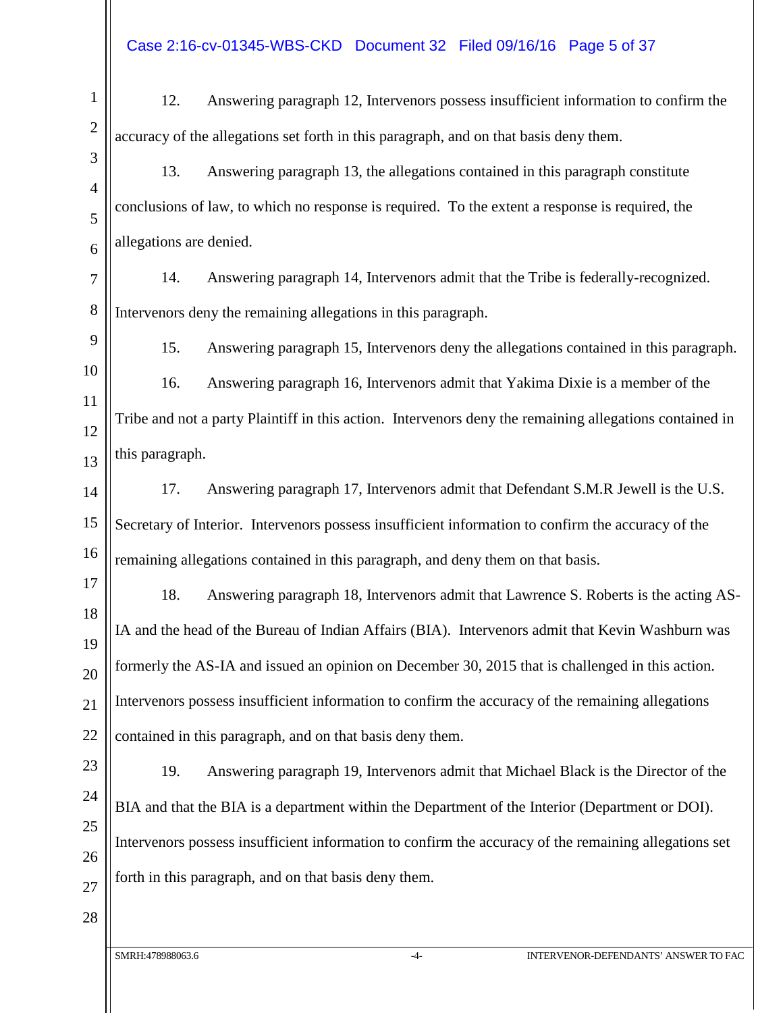12. Answering paragraph 12, Intervenors possess insufficient information to confirm the accuracy of the allegations set forth in this paragraph, and on that basis deny them.

13. Answering paragraph 13, the allegations contained in this paragraph constitute conclusions of law, to which no response is required. To the extent a response is required, the allegations are denied.

7 8 14. Answering paragraph 14, Intervenors admit that the Tribe is federally-recognized. Intervenors deny the remaining allegations in this paragraph.

9

10

11

12

13

1

2

3

4

5

6

15. Answering paragraph 15, Intervenors deny the allegations contained in this paragraph.

16. Answering paragraph 16, Intervenors admit that Yakima Dixie is a member of the Tribe and not a party Plaintiff in this action. Intervenors deny the remaining allegations contained in this paragraph.

14 15 16 17. Answering paragraph 17, Intervenors admit that Defendant S.M.R Jewell is the U.S. Secretary of Interior. Intervenors possess insufficient information to confirm the accuracy of the remaining allegations contained in this paragraph, and deny them on that basis.

17 18 19 20 21 18. Answering paragraph 18, Intervenors admit that Lawrence S. Roberts is the acting AS-IA and the head of the Bureau of Indian Affairs (BIA). Intervenors admit that Kevin Washburn was formerly the AS-IA and issued an opinion on December 30, 2015 that is challenged in this action. Intervenors possess insufficient information to confirm the accuracy of the remaining allegations contained in this paragraph, and on that basis deny them.

19. Answering paragraph 19, Intervenors admit that Michael Black is the Director of the BIA and that the BIA is a department within the Department of the Interior (Department or DOI). Intervenors possess insufficient information to confirm the accuracy of the remaining allegations set forth in this paragraph, and on that basis deny them.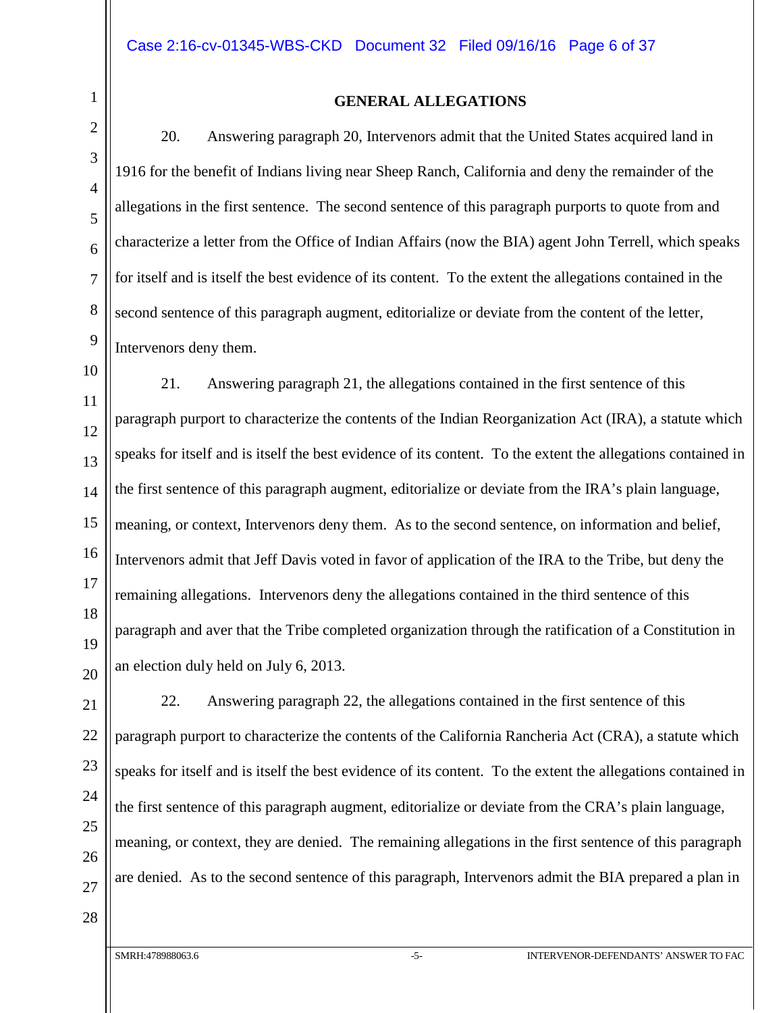# 1 2 3 4 5 6 7 8 9 10 11 12 13 14 15 16 17 18 19 20 21 22 23 24 25 26

**GENERAL ALLEGATIONS**

20. Answering paragraph 20, Intervenors admit that the United States acquired land in 1916 for the benefit of Indians living near Sheep Ranch, California and deny the remainder of the allegations in the first sentence. The second sentence of this paragraph purports to quote from and characterize a letter from the Office of Indian Affairs (now the BIA) agent John Terrell, which speaks for itself and is itself the best evidence of its content. To the extent the allegations contained in the second sentence of this paragraph augment, editorialize or deviate from the content of the letter, Intervenors deny them.

21. Answering paragraph 21, the allegations contained in the first sentence of this paragraph purport to characterize the contents of the Indian Reorganization Act (IRA), a statute which speaks for itself and is itself the best evidence of its content. To the extent the allegations contained in the first sentence of this paragraph augment, editorialize or deviate from the IRA's plain language, meaning, or context, Intervenors deny them. As to the second sentence, on information and belief, Intervenors admit that Jeff Davis voted in favor of application of the IRA to the Tribe, but deny the remaining allegations. Intervenors deny the allegations contained in the third sentence of this paragraph and aver that the Tribe completed organization through the ratification of a Constitution in an election duly held on July 6, 2013.

27 22. Answering paragraph 22, the allegations contained in the first sentence of this paragraph purport to characterize the contents of the California Rancheria Act (CRA), a statute which speaks for itself and is itself the best evidence of its content. To the extent the allegations contained in the first sentence of this paragraph augment, editorialize or deviate from the CRA's plain language, meaning, or context, they are denied. The remaining allegations in the first sentence of this paragraph are denied. As to the second sentence of this paragraph, Intervenors admit the BIA prepared a plan in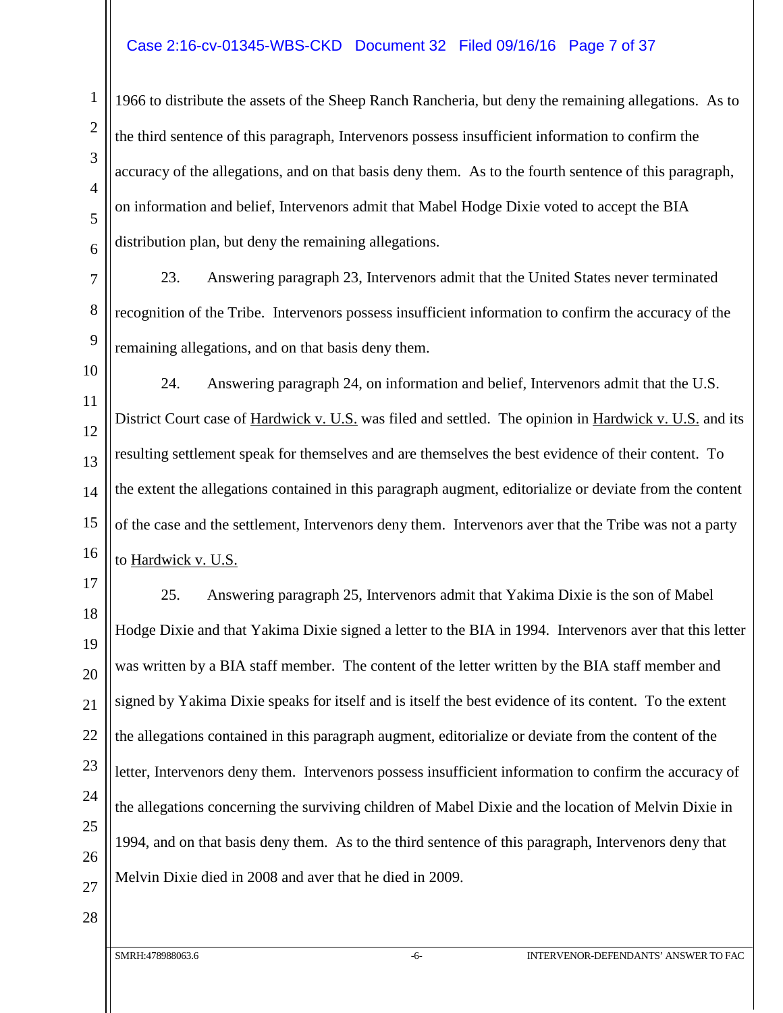#### Case 2:16-cv-01345-WBS-CKD Document 32 Filed 09/16/16 Page 7 of 37

1966 to distribute the assets of the Sheep Ranch Rancheria, but deny the remaining allegations. As to the third sentence of this paragraph, Intervenors possess insufficient information to confirm the accuracy of the allegations, and on that basis deny them. As to the fourth sentence of this paragraph, on information and belief, Intervenors admit that Mabel Hodge Dixie voted to accept the BIA distribution plan, but deny the remaining allegations.

23. Answering paragraph 23, Intervenors admit that the United States never terminated recognition of the Tribe. Intervenors possess insufficient information to confirm the accuracy of the remaining allegations, and on that basis deny them.

10 11 12 13 14 15 16 24. Answering paragraph 24, on information and belief, Intervenors admit that the U.S. District Court case of Hardwick v. U.S. was filed and settled. The opinion in Hardwick v. U.S. and its resulting settlement speak for themselves and are themselves the best evidence of their content. To the extent the allegations contained in this paragraph augment, editorialize or deviate from the content of the case and the settlement, Intervenors deny them. Intervenors aver that the Tribe was not a party to Hardwick v. U.S.

17 18 19 20 21 22 23 24 25 26 25. Answering paragraph 25, Intervenors admit that Yakima Dixie is the son of Mabel Hodge Dixie and that Yakima Dixie signed a letter to the BIA in 1994. Intervenors aver that this letter was written by a BIA staff member. The content of the letter written by the BIA staff member and signed by Yakima Dixie speaks for itself and is itself the best evidence of its content. To the extent the allegations contained in this paragraph augment, editorialize or deviate from the content of the letter, Intervenors deny them. Intervenors possess insufficient information to confirm the accuracy of the allegations concerning the surviving children of Mabel Dixie and the location of Melvin Dixie in 1994, and on that basis deny them. As to the third sentence of this paragraph, Intervenors deny that Melvin Dixie died in 2008 and aver that he died in 2009.

27 28

1

2

3

4

5

6

7

8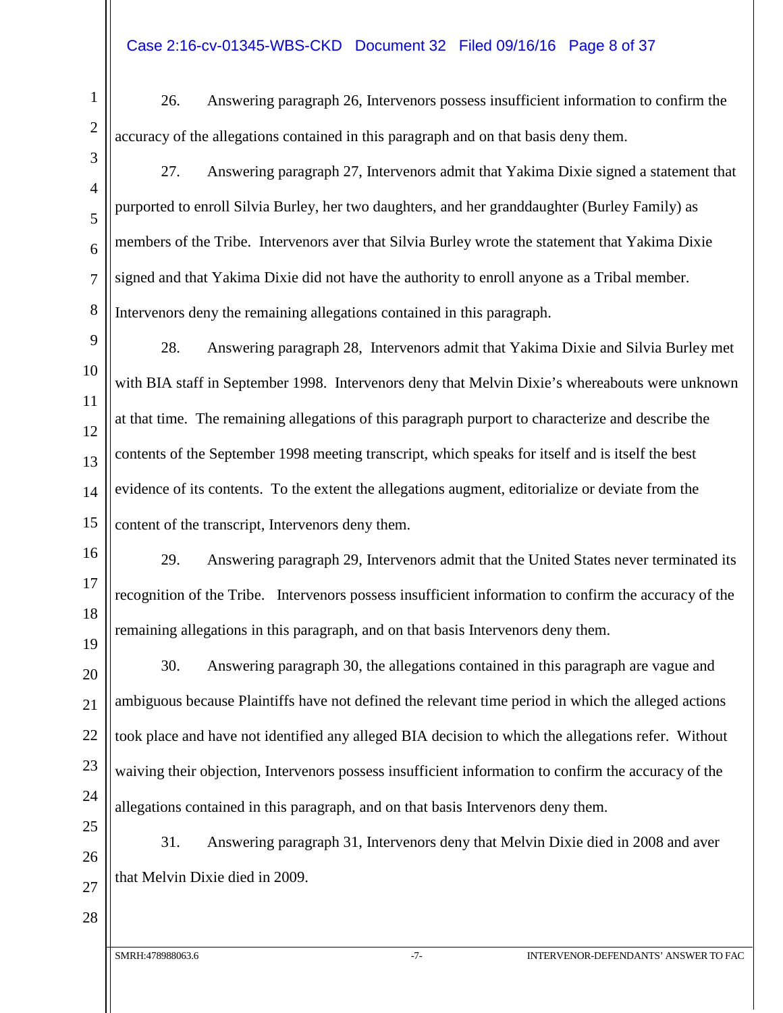#### Case 2:16-cv-01345-WBS-CKD Document 32 Filed 09/16/16 Page 8 of 37

26. Answering paragraph 26, Intervenors possess insufficient information to confirm the accuracy of the allegations contained in this paragraph and on that basis deny them.

27. Answering paragraph 27, Intervenors admit that Yakima Dixie signed a statement that purported to enroll Silvia Burley, her two daughters, and her granddaughter (Burley Family) as members of the Tribe. Intervenors aver that Silvia Burley wrote the statement that Yakima Dixie signed and that Yakima Dixie did not have the authority to enroll anyone as a Tribal member. Intervenors deny the remaining allegations contained in this paragraph.

28. Answering paragraph 28, Intervenors admit that Yakima Dixie and Silvia Burley met with BIA staff in September 1998. Intervenors deny that Melvin Dixie's whereabouts were unknown at that time. The remaining allegations of this paragraph purport to characterize and describe the contents of the September 1998 meeting transcript, which speaks for itself and is itself the best evidence of its contents. To the extent the allegations augment, editorialize or deviate from the content of the transcript, Intervenors deny them.

29. Answering paragraph 29, Intervenors admit that the United States never terminated its recognition of the Tribe. Intervenors possess insufficient information to confirm the accuracy of the remaining allegations in this paragraph, and on that basis Intervenors deny them.

30. Answering paragraph 30, the allegations contained in this paragraph are vague and ambiguous because Plaintiffs have not defined the relevant time period in which the alleged actions took place and have not identified any alleged BIA decision to which the allegations refer. Without waiving their objection, Intervenors possess insufficient information to confirm the accuracy of the allegations contained in this paragraph, and on that basis Intervenors deny them.

31. Answering paragraph 31, Intervenors deny that Melvin Dixie died in 2008 and aver that Melvin Dixie died in 2009.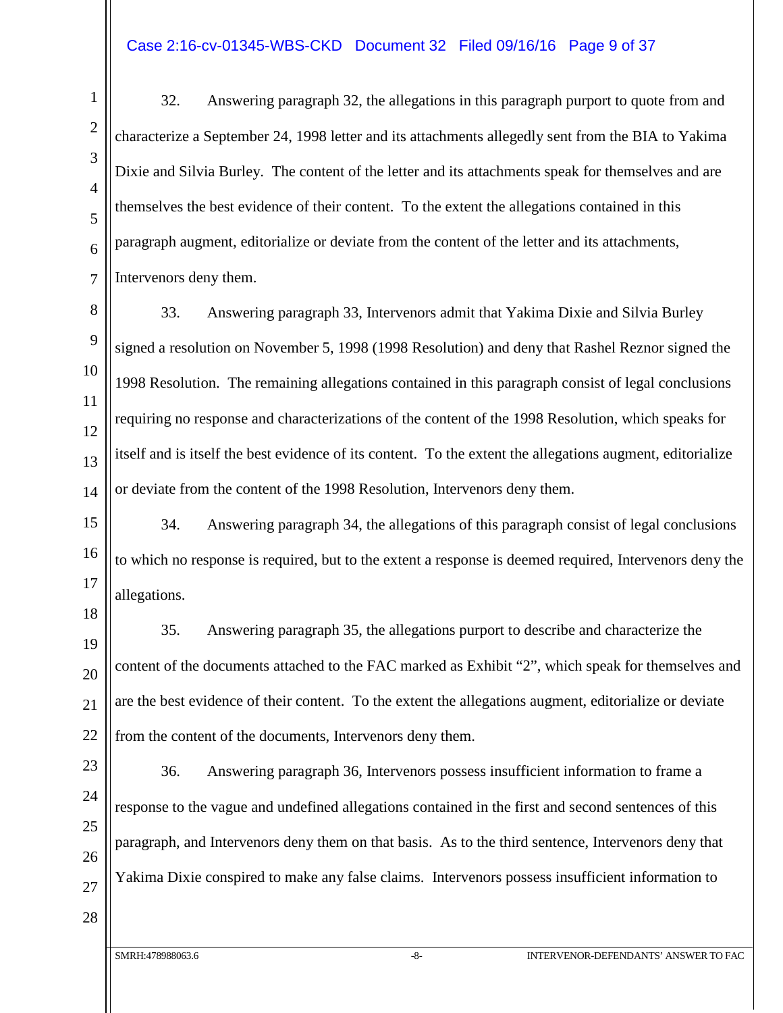#### Case 2:16-cv-01345-WBS-CKD Document 32 Filed 09/16/16 Page 9 of 37

1

32. Answering paragraph 32, the allegations in this paragraph purport to quote from and characterize a September 24, 1998 letter and its attachments allegedly sent from the BIA to Yakima Dixie and Silvia Burley. The content of the letter and its attachments speak for themselves and are themselves the best evidence of their content. To the extent the allegations contained in this paragraph augment, editorialize or deviate from the content of the letter and its attachments, Intervenors deny them.

33. Answering paragraph 33, Intervenors admit that Yakima Dixie and Silvia Burley signed a resolution on November 5, 1998 (1998 Resolution) and deny that Rashel Reznor signed the 1998 Resolution. The remaining allegations contained in this paragraph consist of legal conclusions requiring no response and characterizations of the content of the 1998 Resolution, which speaks for itself and is itself the best evidence of its content. To the extent the allegations augment, editorialize or deviate from the content of the 1998 Resolution, Intervenors deny them.

34. Answering paragraph 34, the allegations of this paragraph consist of legal conclusions to which no response is required, but to the extent a response is deemed required, Intervenors deny the allegations.

35. Answering paragraph 35, the allegations purport to describe and characterize the content of the documents attached to the FAC marked as Exhibit "2", which speak for themselves and are the best evidence of their content. To the extent the allegations augment, editorialize or deviate from the content of the documents, Intervenors deny them.

36. Answering paragraph 36, Intervenors possess insufficient information to frame a response to the vague and undefined allegations contained in the first and second sentences of this paragraph, and Intervenors deny them on that basis. As to the third sentence, Intervenors deny that Yakima Dixie conspired to make any false claims. Intervenors possess insufficient information to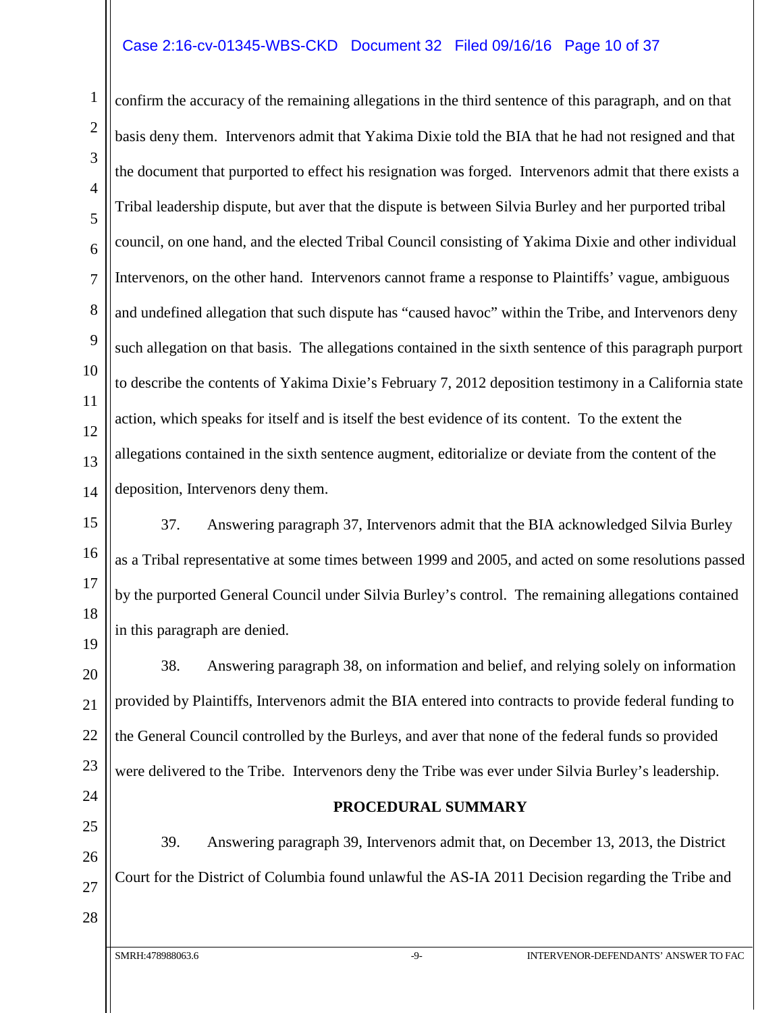#### Case 2:16-cv-01345-WBS-CKD Document 32 Filed 09/16/16 Page 10 of 37

confirm the accuracy of the remaining allegations in the third sentence of this paragraph, and on that basis deny them. Intervenors admit that Yakima Dixie told the BIA that he had not resigned and that the document that purported to effect his resignation was forged. Intervenors admit that there exists a Tribal leadership dispute, but aver that the dispute is between Silvia Burley and her purported tribal council, on one hand, and the elected Tribal Council consisting of Yakima Dixie and other individual Intervenors, on the other hand. Intervenors cannot frame a response to Plaintiffs' vague, ambiguous and undefined allegation that such dispute has "caused havoc" within the Tribe, and Intervenors deny such allegation on that basis. The allegations contained in the sixth sentence of this paragraph purport to describe the contents of Yakima Dixie's February 7, 2012 deposition testimony in a California state action, which speaks for itself and is itself the best evidence of its content. To the extent the allegations contained in the sixth sentence augment, editorialize or deviate from the content of the deposition, Intervenors deny them.

15 16 17 18 19 37. Answering paragraph 37, Intervenors admit that the BIA acknowledged Silvia Burley as a Tribal representative at some times between 1999 and 2005, and acted on some resolutions passed by the purported General Council under Silvia Burley's control. The remaining allegations contained in this paragraph are denied.

20 21 22 23 38. Answering paragraph 38, on information and belief, and relying solely on information provided by Plaintiffs, Intervenors admit the BIA entered into contracts to provide federal funding to the General Council controlled by the Burleys, and aver that none of the federal funds so provided were delivered to the Tribe. Intervenors deny the Tribe was ever under Silvia Burley's leadership.

24 25

26

27

28

1

2

3

4

5

6

7

8

9

10

11

12

13

14

**PROCEDURAL SUMMARY**

39. Answering paragraph 39, Intervenors admit that, on December 13, 2013, the District Court for the District of Columbia found unlawful the AS-IA 2011 Decision regarding the Tribe and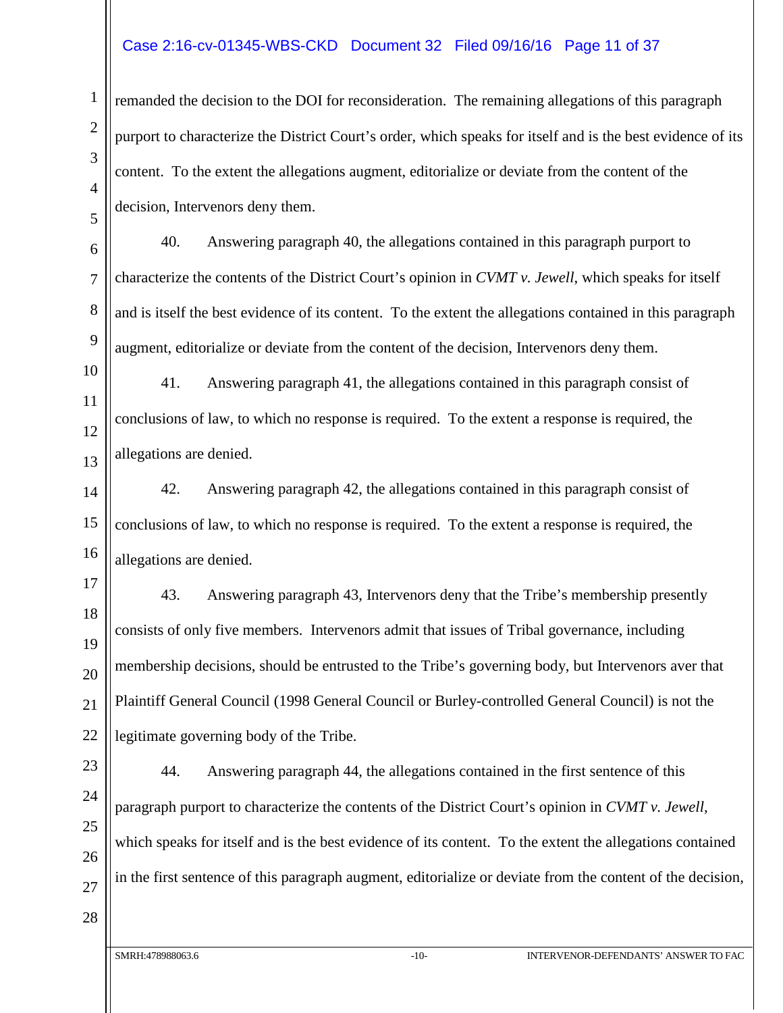#### Case 2:16-cv-01345-WBS-CKD Document 32 Filed 09/16/16 Page 11 of 37

remanded the decision to the DOI for reconsideration. The remaining allegations of this paragraph purport to characterize the District Court's order, which speaks for itself and is the best evidence of its content. To the extent the allegations augment, editorialize or deviate from the content of the decision, Intervenors deny them.

40. Answering paragraph 40, the allegations contained in this paragraph purport to characterize the contents of the District Court's opinion in *CVMT v. Jewell*, which speaks for itself and is itself the best evidence of its content. To the extent the allegations contained in this paragraph augment, editorialize or deviate from the content of the decision, Intervenors deny them.

41. Answering paragraph 41, the allegations contained in this paragraph consist of conclusions of law, to which no response is required. To the extent a response is required, the allegations are denied.

42. Answering paragraph 42, the allegations contained in this paragraph consist of conclusions of law, to which no response is required. To the extent a response is required, the allegations are denied.

43. Answering paragraph 43, Intervenors deny that the Tribe's membership presently consists of only five members. Intervenors admit that issues of Tribal governance, including membership decisions, should be entrusted to the Tribe's governing body, but Intervenors aver that Plaintiff General Council (1998 General Council or Burley-controlled General Council) is not the legitimate governing body of the Tribe.

44. Answering paragraph 44, the allegations contained in the first sentence of this paragraph purport to characterize the contents of the District Court's opinion in *CVMT v. Jewell*, which speaks for itself and is the best evidence of its content. To the extent the allegations contained in the first sentence of this paragraph augment, editorialize or deviate from the content of the decision,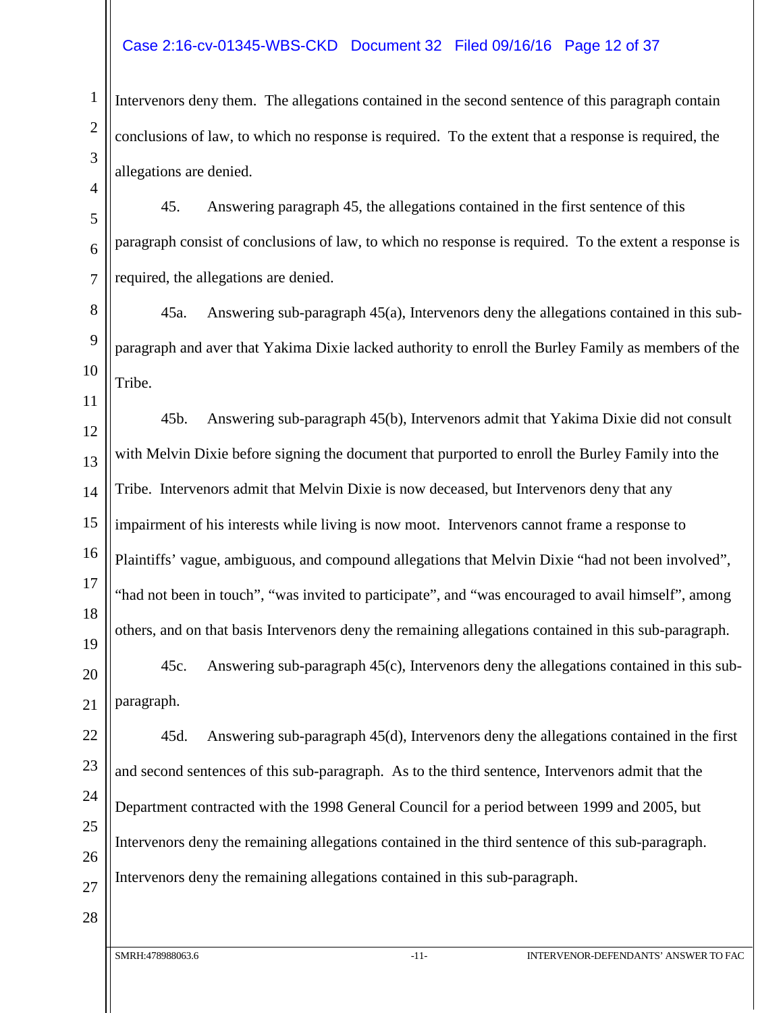#### Case 2:16-cv-01345-WBS-CKD Document 32 Filed 09/16/16 Page 12 of 37

Intervenors deny them. The allegations contained in the second sentence of this paragraph contain conclusions of law, to which no response is required. To the extent that a response is required, the allegations are denied.

45. Answering paragraph 45, the allegations contained in the first sentence of this paragraph consist of conclusions of law, to which no response is required. To the extent a response is required, the allegations are denied.

8 9 10 45a. Answering sub-paragraph 45(a), Intervenors deny the allegations contained in this subparagraph and aver that Yakima Dixie lacked authority to enroll the Burley Family as members of the Tribe.

45b. Answering sub-paragraph 45(b), Intervenors admit that Yakima Dixie did not consult with Melvin Dixie before signing the document that purported to enroll the Burley Family into the Tribe. Intervenors admit that Melvin Dixie is now deceased, but Intervenors deny that any impairment of his interests while living is now moot. Intervenors cannot frame a response to Plaintiffs' vague, ambiguous, and compound allegations that Melvin Dixie "had not been involved", "had not been in touch", "was invited to participate", and "was encouraged to avail himself", among others, and on that basis Intervenors deny the remaining allegations contained in this sub-paragraph.

45c. Answering sub-paragraph 45(c), Intervenors deny the allegations contained in this subparagraph.

45d. Answering sub-paragraph 45(d), Intervenors deny the allegations contained in the first and second sentences of this sub-paragraph. As to the third sentence, Intervenors admit that the Department contracted with the 1998 General Council for a period between 1999 and 2005, but Intervenors deny the remaining allegations contained in the third sentence of this sub-paragraph. Intervenors deny the remaining allegations contained in this sub-paragraph.

28

1

2

3

4

5

6

7

11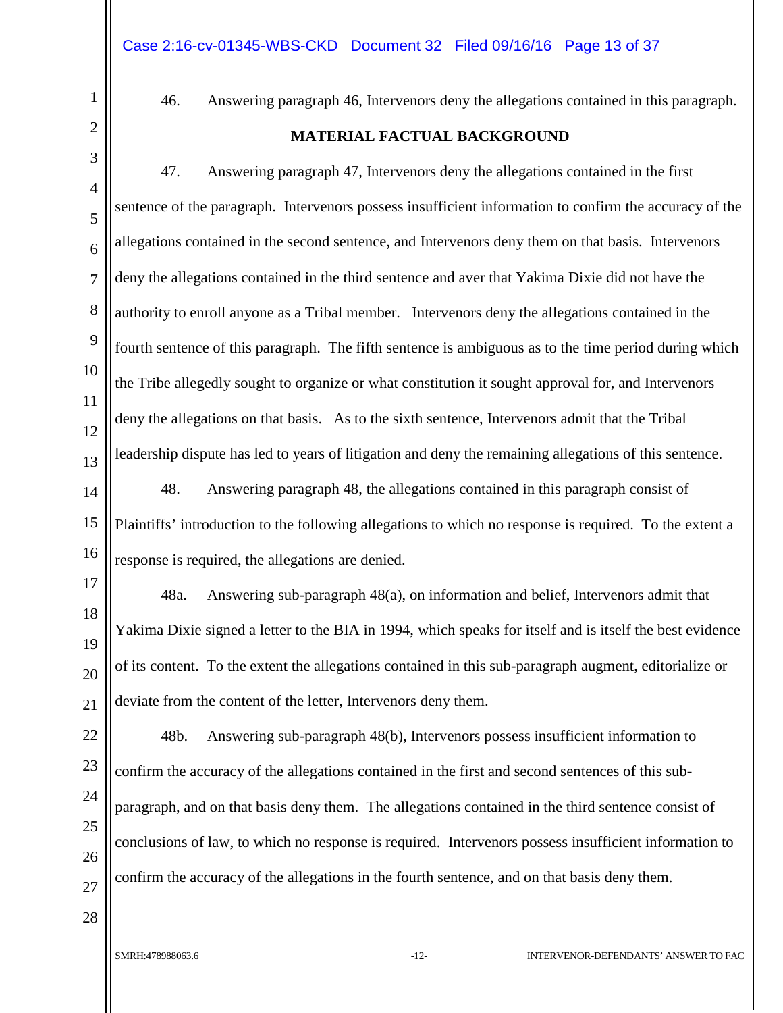46. Answering paragraph 46, Intervenors deny the allegations contained in this paragraph.

#### **MATERIAL FACTUAL BACKGROUND**

47. Answering paragraph 47, Intervenors deny the allegations contained in the first sentence of the paragraph. Intervenors possess insufficient information to confirm the accuracy of the allegations contained in the second sentence, and Intervenors deny them on that basis. Intervenors deny the allegations contained in the third sentence and aver that Yakima Dixie did not have the authority to enroll anyone as a Tribal member. Intervenors deny the allegations contained in the fourth sentence of this paragraph. The fifth sentence is ambiguous as to the time period during which the Tribe allegedly sought to organize or what constitution it sought approval for, and Intervenors deny the allegations on that basis. As to the sixth sentence, Intervenors admit that the Tribal leadership dispute has led to years of litigation and deny the remaining allegations of this sentence.

48. Answering paragraph 48, the allegations contained in this paragraph consist of Plaintiffs' introduction to the following allegations to which no response is required. To the extent a response is required, the allegations are denied.

48a. Answering sub-paragraph 48(a), on information and belief, Intervenors admit that Yakima Dixie signed a letter to the BIA in 1994, which speaks for itself and is itself the best evidence of its content. To the extent the allegations contained in this sub-paragraph augment, editorialize or deviate from the content of the letter, Intervenors deny them.

24 25 26 27 48b. Answering sub-paragraph 48(b), Intervenors possess insufficient information to confirm the accuracy of the allegations contained in the first and second sentences of this subparagraph, and on that basis deny them. The allegations contained in the third sentence consist of conclusions of law, to which no response is required. Intervenors possess insufficient information to confirm the accuracy of the allegations in the fourth sentence, and on that basis deny them.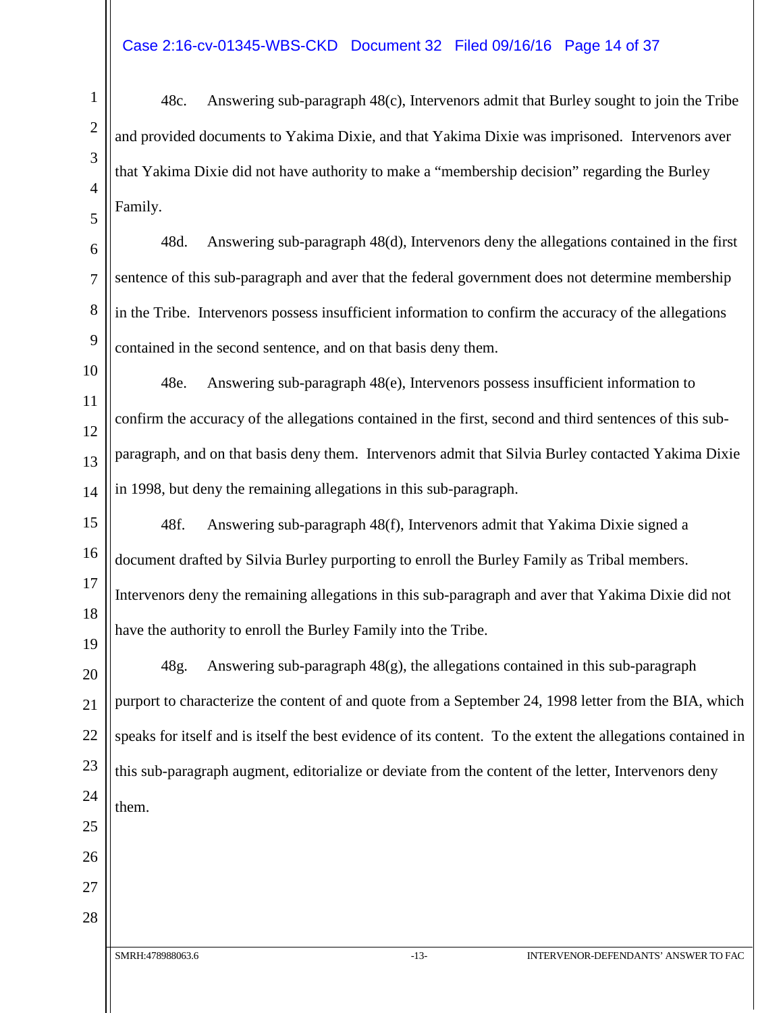48c. Answering sub-paragraph 48(c), Intervenors admit that Burley sought to join the Tribe and provided documents to Yakima Dixie, and that Yakima Dixie was imprisoned. Intervenors aver that Yakima Dixie did not have authority to make a "membership decision" regarding the Burley Family.

48d. Answering sub-paragraph 48(d), Intervenors deny the allegations contained in the first sentence of this sub-paragraph and aver that the federal government does not determine membership in the Tribe. Intervenors possess insufficient information to confirm the accuracy of the allegations contained in the second sentence, and on that basis deny them.

48e. Answering sub-paragraph 48(e), Intervenors possess insufficient information to confirm the accuracy of the allegations contained in the first, second and third sentences of this subparagraph, and on that basis deny them. Intervenors admit that Silvia Burley contacted Yakima Dixie in 1998, but deny the remaining allegations in this sub-paragraph.

48f. Answering sub-paragraph 48(f), Intervenors admit that Yakima Dixie signed a document drafted by Silvia Burley purporting to enroll the Burley Family as Tribal members. Intervenors deny the remaining allegations in this sub-paragraph and aver that Yakima Dixie did not have the authority to enroll the Burley Family into the Tribe.

48g. Answering sub-paragraph  $48(g)$ , the allegations contained in this sub-paragraph purport to characterize the content of and quote from a September 24, 1998 letter from the BIA, which speaks for itself and is itself the best evidence of its content. To the extent the allegations contained in this sub-paragraph augment, editorialize or deviate from the content of the letter, Intervenors deny them.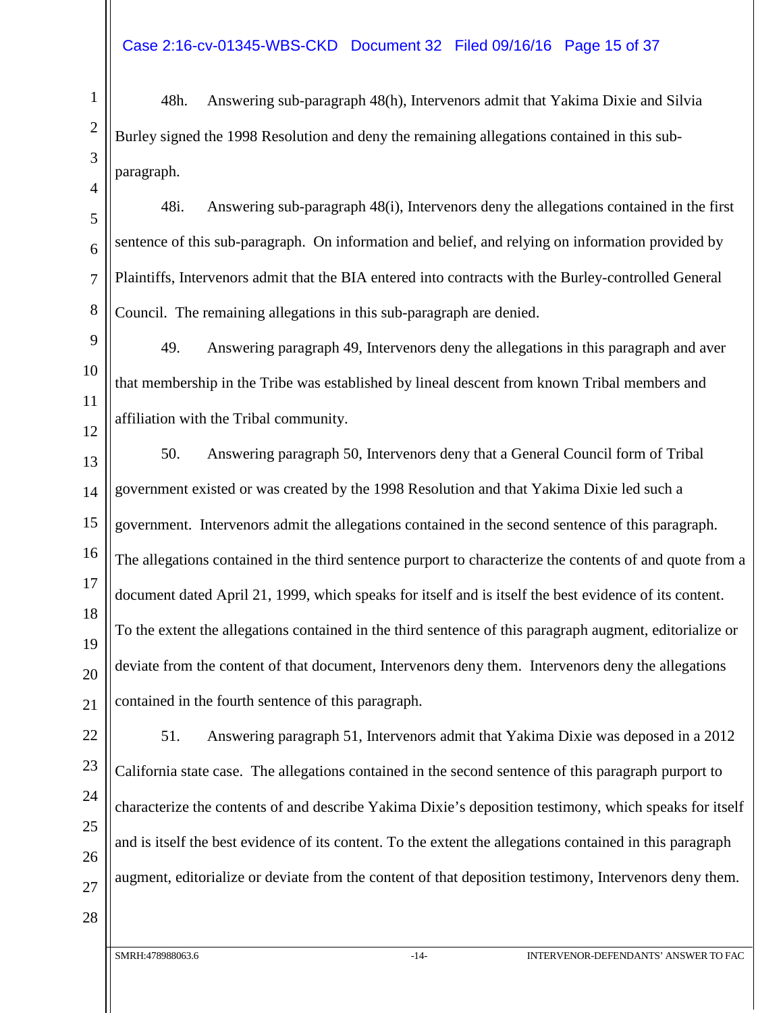48h. Answering sub-paragraph 48(h), Intervenors admit that Yakima Dixie and Silvia Burley signed the 1998 Resolution and deny the remaining allegations contained in this subparagraph.

48i. Answering sub-paragraph 48(i), Intervenors deny the allegations contained in the first sentence of this sub-paragraph. On information and belief, and relying on information provided by Plaintiffs, Intervenors admit that the BIA entered into contracts with the Burley-controlled General Council. The remaining allegations in this sub-paragraph are denied.

49. Answering paragraph 49, Intervenors deny the allegations in this paragraph and aver that membership in the Tribe was established by lineal descent from known Tribal members and affiliation with the Tribal community.

50. Answering paragraph 50, Intervenors deny that a General Council form of Tribal government existed or was created by the 1998 Resolution and that Yakima Dixie led such a government. Intervenors admit the allegations contained in the second sentence of this paragraph. The allegations contained in the third sentence purport to characterize the contents of and quote from a document dated April 21, 1999, which speaks for itself and is itself the best evidence of its content. To the extent the allegations contained in the third sentence of this paragraph augment, editorialize or deviate from the content of that document, Intervenors deny them. Intervenors deny the allegations contained in the fourth sentence of this paragraph.

51. Answering paragraph 51, Intervenors admit that Yakima Dixie was deposed in a 2012 California state case. The allegations contained in the second sentence of this paragraph purport to characterize the contents of and describe Yakima Dixie's deposition testimony, which speaks for itself and is itself the best evidence of its content. To the extent the allegations contained in this paragraph augment, editorialize or deviate from the content of that deposition testimony, Intervenors deny them.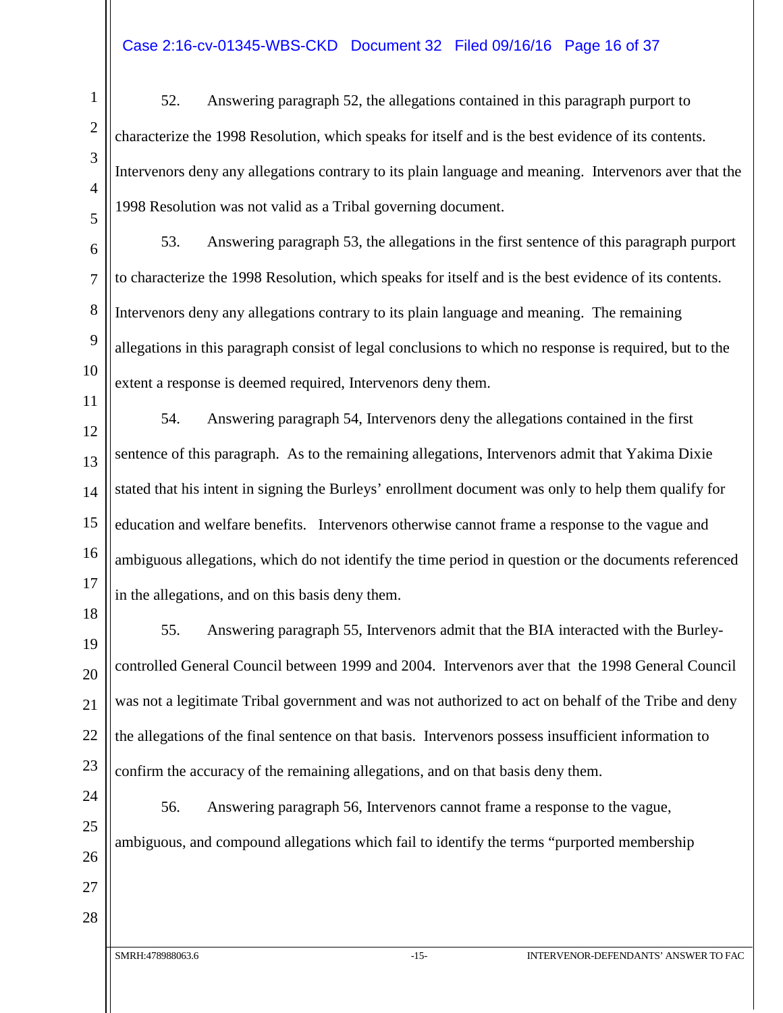#### Case 2:16-cv-01345-WBS-CKD Document 32 Filed 09/16/16 Page 16 of 37

52. Answering paragraph 52, the allegations contained in this paragraph purport to characterize the 1998 Resolution, which speaks for itself and is the best evidence of its contents. Intervenors deny any allegations contrary to its plain language and meaning. Intervenors aver that the 1998 Resolution was not valid as a Tribal governing document.

53. Answering paragraph 53, the allegations in the first sentence of this paragraph purport to characterize the 1998 Resolution, which speaks for itself and is the best evidence of its contents. Intervenors deny any allegations contrary to its plain language and meaning. The remaining allegations in this paragraph consist of legal conclusions to which no response is required, but to the extent a response is deemed required, Intervenors deny them.

54. Answering paragraph 54, Intervenors deny the allegations contained in the first sentence of this paragraph. As to the remaining allegations, Intervenors admit that Yakima Dixie stated that his intent in signing the Burleys' enrollment document was only to help them qualify for education and welfare benefits. Intervenors otherwise cannot frame a response to the vague and ambiguous allegations, which do not identify the time period in question or the documents referenced in the allegations, and on this basis deny them.

55. Answering paragraph 55, Intervenors admit that the BIA interacted with the Burleycontrolled General Council between 1999 and 2004. Intervenors aver that the 1998 General Council was not a legitimate Tribal government and was not authorized to act on behalf of the Tribe and deny the allegations of the final sentence on that basis. Intervenors possess insufficient information to confirm the accuracy of the remaining allegations, and on that basis deny them.

56. Answering paragraph 56, Intervenors cannot frame a response to the vague, ambiguous, and compound allegations which fail to identify the terms "purported membership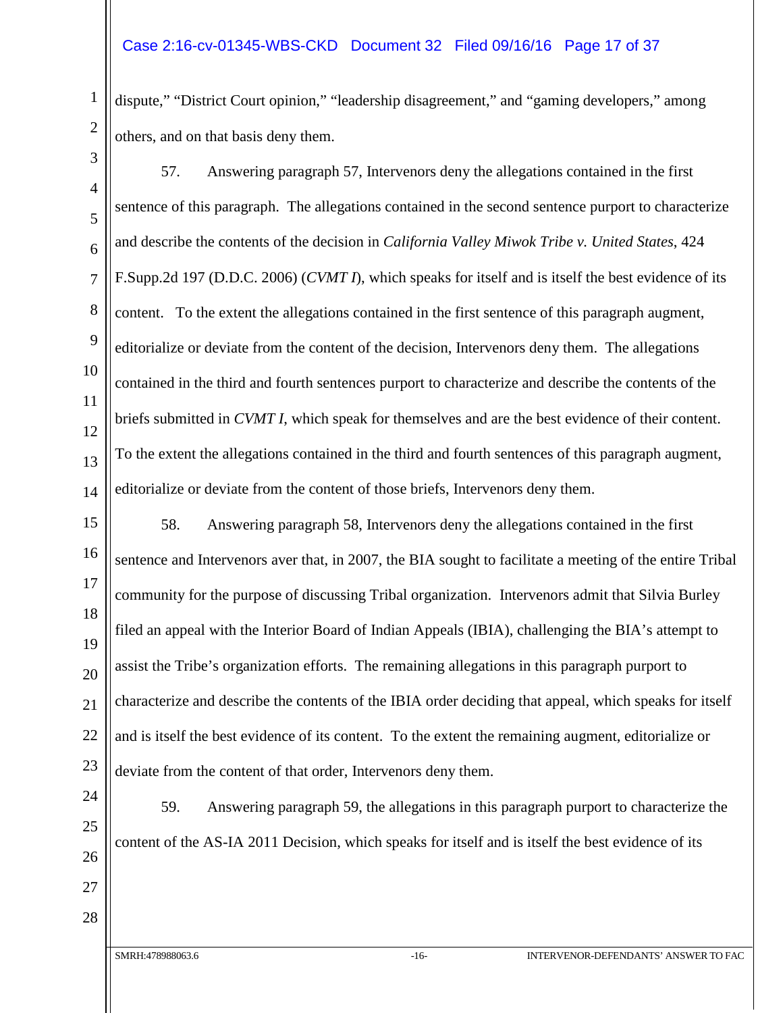#### Case 2:16-cv-01345-WBS-CKD Document 32 Filed 09/16/16 Page 17 of 37

dispute," "District Court opinion," "leadership disagreement," and "gaming developers," among others, and on that basis deny them.

1

57. Answering paragraph 57, Intervenors deny the allegations contained in the first sentence of this paragraph. The allegations contained in the second sentence purport to characterize and describe the contents of the decision in *California Valley Miwok Tribe v. United States*, 424 F.Supp.2d 197 (D.D.C. 2006) (*CVMT I*), which speaks for itself and is itself the best evidence of its content. To the extent the allegations contained in the first sentence of this paragraph augment, editorialize or deviate from the content of the decision, Intervenors deny them. The allegations contained in the third and fourth sentences purport to characterize and describe the contents of the briefs submitted in *CVMT I*, which speak for themselves and are the best evidence of their content. To the extent the allegations contained in the third and fourth sentences of this paragraph augment, editorialize or deviate from the content of those briefs, Intervenors deny them.

58. Answering paragraph 58, Intervenors deny the allegations contained in the first sentence and Intervenors aver that, in 2007, the BIA sought to facilitate a meeting of the entire Tribal community for the purpose of discussing Tribal organization. Intervenors admit that Silvia Burley filed an appeal with the Interior Board of Indian Appeals (IBIA), challenging the BIA's attempt to assist the Tribe's organization efforts. The remaining allegations in this paragraph purport to characterize and describe the contents of the IBIA order deciding that appeal, which speaks for itself and is itself the best evidence of its content. To the extent the remaining augment, editorialize or deviate from the content of that order, Intervenors deny them.

28

content of the AS-IA 2011 Decision, which speaks for itself and is itself the best evidence of its

59. Answering paragraph 59, the allegations in this paragraph purport to characterize the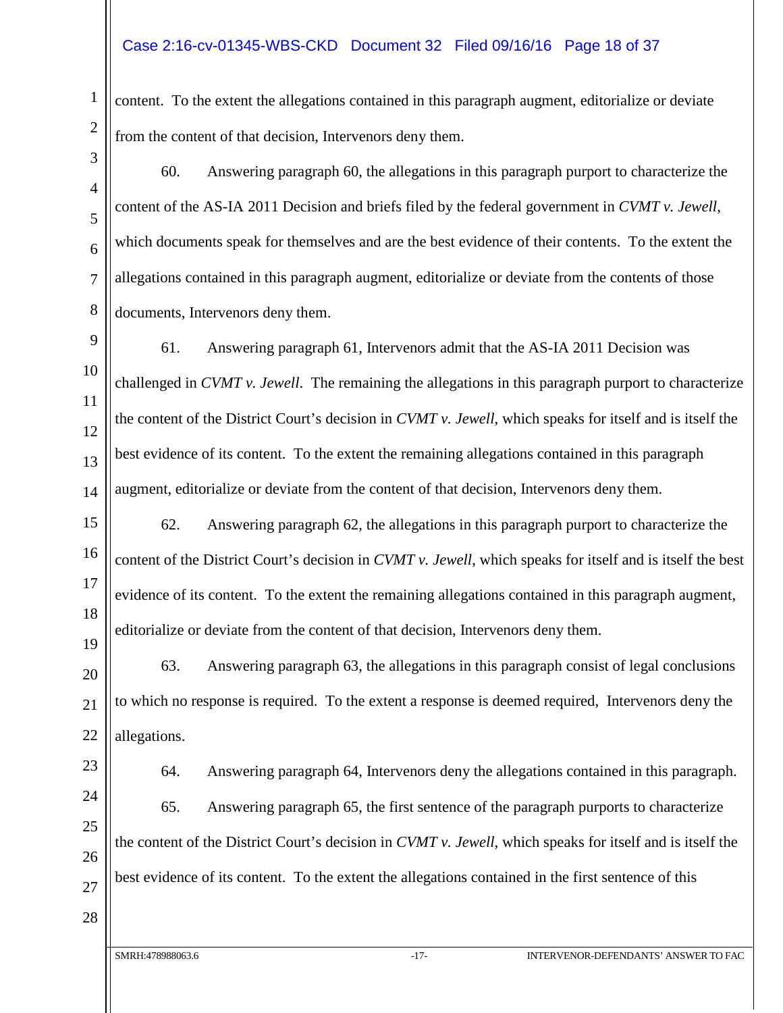#### Case 2:16-cv-01345-WBS-CKD Document 32 Filed 09/16/16 Page 18 of 37

content. To the extent the allegations contained in this paragraph augment, editorialize or deviate from the content of that decision, Intervenors deny them.

- 60. Answering paragraph 60, the allegations in this paragraph purport to characterize the content of the AS-IA 2011 Decision and briefs filed by the federal government in *CVMT v. Jewell*, which documents speak for themselves and are the best evidence of their contents. To the extent the allegations contained in this paragraph augment, editorialize or deviate from the contents of those documents, Intervenors deny them.
- 9 10 11 12 13 14 61. Answering paragraph 61, Intervenors admit that the AS-IA 2011 Decision was challenged in *CVMT v. Jewell*. The remaining the allegations in this paragraph purport to characterize the content of the District Court's decision in *CVMT v. Jewell*, which speaks for itself and is itself the best evidence of its content. To the extent the remaining allegations contained in this paragraph augment, editorialize or deviate from the content of that decision, Intervenors deny them.
- 15 16 17 18 19 62. Answering paragraph 62, the allegations in this paragraph purport to characterize the content of the District Court's decision in *CVMT v. Jewell*, which speaks for itself and is itself the best evidence of its content. To the extent the remaining allegations contained in this paragraph augment, editorialize or deviate from the content of that decision, Intervenors deny them.

20 21 22 63. Answering paragraph 63, the allegations in this paragraph consist of legal conclusions to which no response is required. To the extent a response is deemed required, Intervenors deny the allegations.

23 24

25

26

27

1

2

3

4

5

6

7

8

64. Answering paragraph 64, Intervenors deny the allegations contained in this paragraph. 65. Answering paragraph 65, the first sentence of the paragraph purports to characterize the content of the District Court's decision in *CVMT v. Jewell*, which speaks for itself and is itself the best evidence of its content. To the extent the allegations contained in the first sentence of this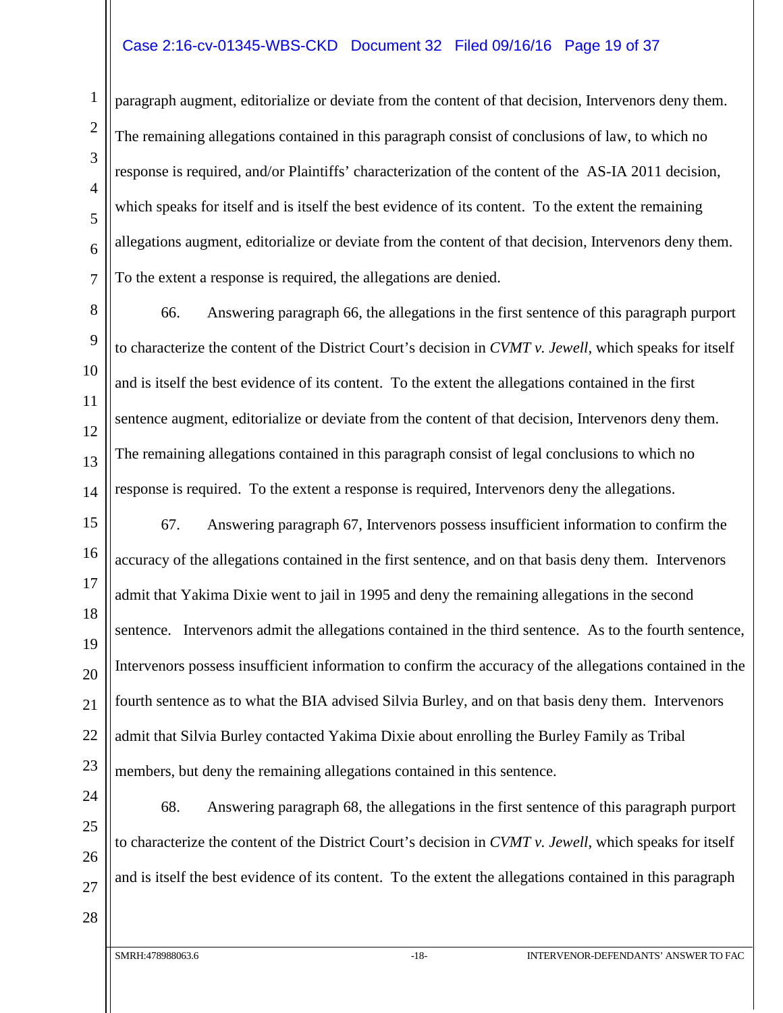#### Case 2:16-cv-01345-WBS-CKD Document 32 Filed 09/16/16 Page 19 of 37

paragraph augment, editorialize or deviate from the content of that decision, Intervenors deny them. The remaining allegations contained in this paragraph consist of conclusions of law, to which no response is required, and/or Plaintiffs' characterization of the content of the AS-IA 2011 decision, which speaks for itself and is itself the best evidence of its content. To the extent the remaining allegations augment, editorialize or deviate from the content of that decision, Intervenors deny them. To the extent a response is required, the allegations are denied.

8 9 10 11 12 13 14 66. Answering paragraph 66, the allegations in the first sentence of this paragraph purport to characterize the content of the District Court's decision in *CVMT v. Jewell*, which speaks for itself and is itself the best evidence of its content. To the extent the allegations contained in the first sentence augment, editorialize or deviate from the content of that decision, Intervenors deny them. The remaining allegations contained in this paragraph consist of legal conclusions to which no response is required. To the extent a response is required, Intervenors deny the allegations.

15 16 17 18 19 20 21 22 23 67. Answering paragraph 67, Intervenors possess insufficient information to confirm the accuracy of the allegations contained in the first sentence, and on that basis deny them. Intervenors admit that Yakima Dixie went to jail in 1995 and deny the remaining allegations in the second sentence. Intervenors admit the allegations contained in the third sentence. As to the fourth sentence, Intervenors possess insufficient information to confirm the accuracy of the allegations contained in the fourth sentence as to what the BIA advised Silvia Burley, and on that basis deny them. Intervenors admit that Silvia Burley contacted Yakima Dixie about enrolling the Burley Family as Tribal members, but deny the remaining allegations contained in this sentence.

28

1

2

3

4

5

6

7

68. Answering paragraph 68, the allegations in the first sentence of this paragraph purport to characterize the content of the District Court's decision in *CVMT v. Jewell*, which speaks for itself and is itself the best evidence of its content. To the extent the allegations contained in this paragraph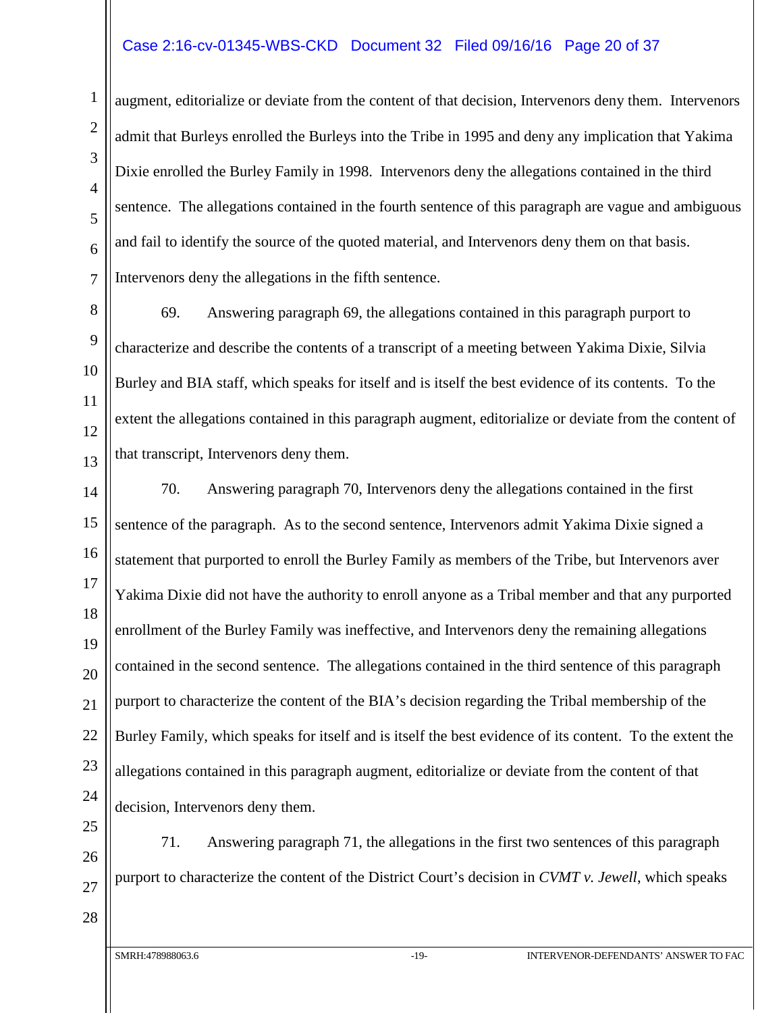#### Case 2:16-cv-01345-WBS-CKD Document 32 Filed 09/16/16 Page 20 of 37

augment, editorialize or deviate from the content of that decision, Intervenors deny them. Intervenors admit that Burleys enrolled the Burleys into the Tribe in 1995 and deny any implication that Yakima Dixie enrolled the Burley Family in 1998. Intervenors deny the allegations contained in the third sentence. The allegations contained in the fourth sentence of this paragraph are vague and ambiguous and fail to identify the source of the quoted material, and Intervenors deny them on that basis. Intervenors deny the allegations in the fifth sentence.

69. Answering paragraph 69, the allegations contained in this paragraph purport to characterize and describe the contents of a transcript of a meeting between Yakima Dixie, Silvia Burley and BIA staff, which speaks for itself and is itself the best evidence of its contents. To the extent the allegations contained in this paragraph augment, editorialize or deviate from the content of that transcript, Intervenors deny them.

70. Answering paragraph 70, Intervenors deny the allegations contained in the first sentence of the paragraph. As to the second sentence, Intervenors admit Yakima Dixie signed a statement that purported to enroll the Burley Family as members of the Tribe, but Intervenors aver Yakima Dixie did not have the authority to enroll anyone as a Tribal member and that any purported enrollment of the Burley Family was ineffective, and Intervenors deny the remaining allegations contained in the second sentence. The allegations contained in the third sentence of this paragraph purport to characterize the content of the BIA's decision regarding the Tribal membership of the Burley Family, which speaks for itself and is itself the best evidence of its content. To the extent the allegations contained in this paragraph augment, editorialize or deviate from the content of that decision, Intervenors deny them.

25 26 27

71. Answering paragraph 71, the allegations in the first two sentences of this paragraph purport to characterize the content of the District Court's decision in *CVMT v. Jewell*, which speaks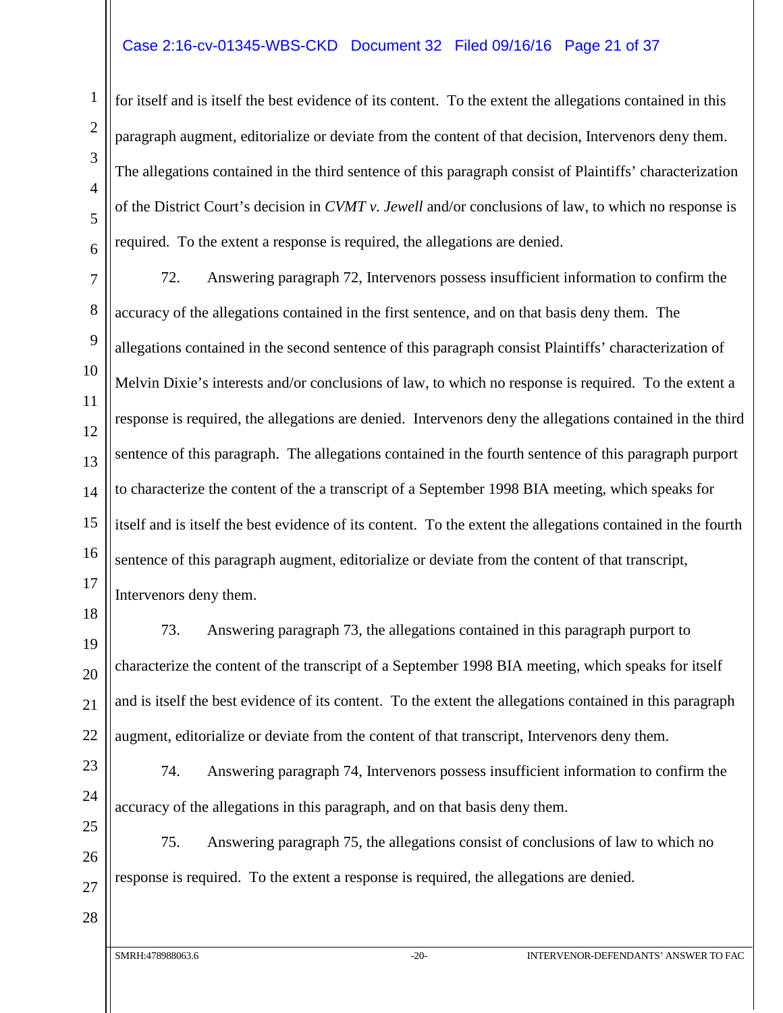#### Case 2:16-cv-01345-WBS-CKD Document 32 Filed 09/16/16 Page 21 of 37

for itself and is itself the best evidence of its content. To the extent the allegations contained in this paragraph augment, editorialize or deviate from the content of that decision, Intervenors deny them. The allegations contained in the third sentence of this paragraph consist of Plaintiffs' characterization of the District Court's decision in *CVMT v. Jewell* and/or conclusions of law, to which no response is required. To the extent a response is required, the allegations are denied.

72. Answering paragraph 72, Intervenors possess insufficient information to confirm the accuracy of the allegations contained in the first sentence, and on that basis deny them. The allegations contained in the second sentence of this paragraph consist Plaintiffs' characterization of Melvin Dixie's interests and/or conclusions of law, to which no response is required. To the extent a response is required, the allegations are denied. Intervenors deny the allegations contained in the third sentence of this paragraph. The allegations contained in the fourth sentence of this paragraph purport to characterize the content of the a transcript of a September 1998 BIA meeting, which speaks for itself and is itself the best evidence of its content. To the extent the allegations contained in the fourth sentence of this paragraph augment, editorialize or deviate from the content of that transcript, Intervenors deny them.

73. Answering paragraph 73, the allegations contained in this paragraph purport to characterize the content of the transcript of a September 1998 BIA meeting, which speaks for itself and is itself the best evidence of its content. To the extent the allegations contained in this paragraph augment, editorialize or deviate from the content of that transcript, Intervenors deny them.

74. Answering paragraph 74, Intervenors possess insufficient information to confirm the accuracy of the allegations in this paragraph, and on that basis deny them.

75. Answering paragraph 75, the allegations consist of conclusions of law to which no response is required. To the extent a response is required, the allegations are denied.

1

2

3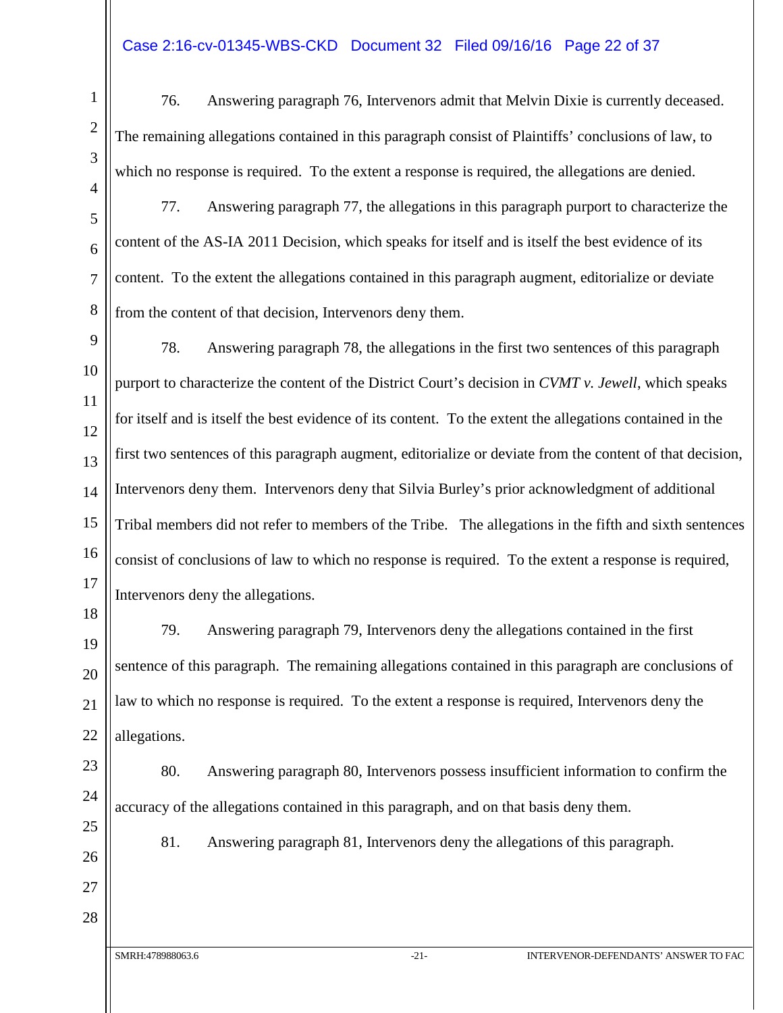#### Case 2:16-cv-01345-WBS-CKD Document 32 Filed 09/16/16 Page 22 of 37

- 1 2 3 4 5 6 7 8 9 10 11 12 13 14 15 16 17 18 19 20 21 22
- 23 24 25

76. Answering paragraph 76, Intervenors admit that Melvin Dixie is currently deceased. The remaining allegations contained in this paragraph consist of Plaintiffs' conclusions of law, to which no response is required. To the extent a response is required, the allegations are denied.

77. Answering paragraph 77, the allegations in this paragraph purport to characterize the content of the AS-IA 2011 Decision, which speaks for itself and is itself the best evidence of its content. To the extent the allegations contained in this paragraph augment, editorialize or deviate from the content of that decision, Intervenors deny them.

78. Answering paragraph 78, the allegations in the first two sentences of this paragraph purport to characterize the content of the District Court's decision in *CVMT v. Jewell*, which speaks for itself and is itself the best evidence of its content. To the extent the allegations contained in the first two sentences of this paragraph augment, editorialize or deviate from the content of that decision, Intervenors deny them. Intervenors deny that Silvia Burley's prior acknowledgment of additional Tribal members did not refer to members of the Tribe. The allegations in the fifth and sixth sentences consist of conclusions of law to which no response is required. To the extent a response is required, Intervenors deny the allegations.

79. Answering paragraph 79, Intervenors deny the allegations contained in the first sentence of this paragraph. The remaining allegations contained in this paragraph are conclusions of law to which no response is required. To the extent a response is required, Intervenors deny the allegations.

80. Answering paragraph 80, Intervenors possess insufficient information to confirm the accuracy of the allegations contained in this paragraph, and on that basis deny them.

26 27

28

81. Answering paragraph 81, Intervenors deny the allegations of this paragraph.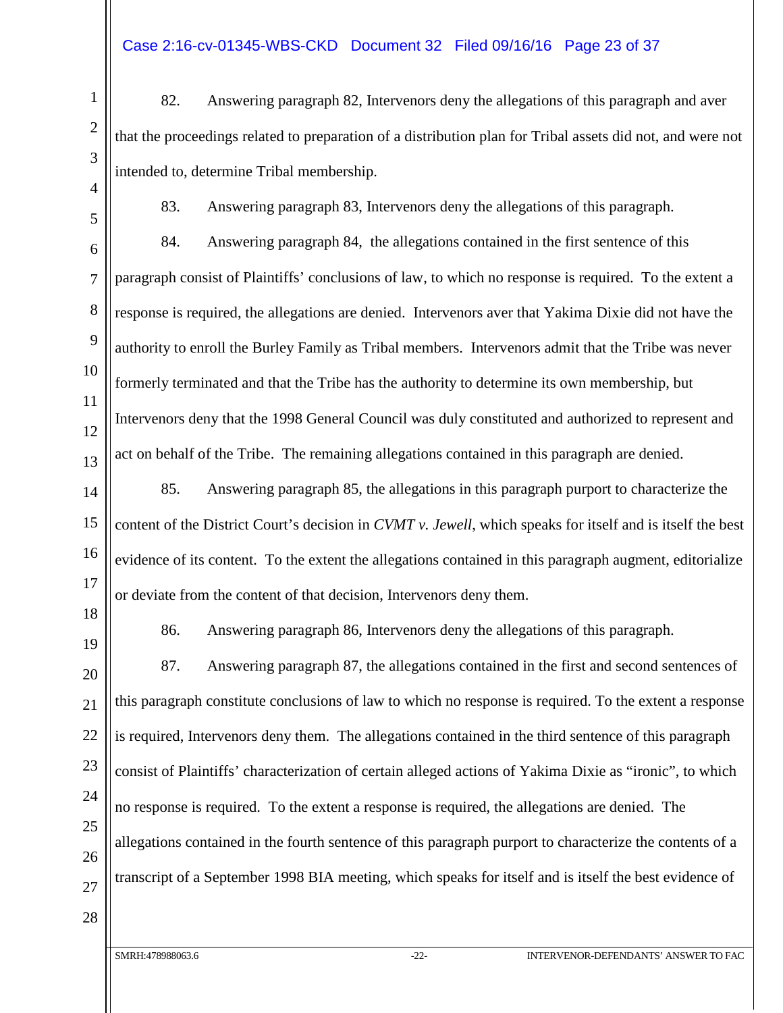#### Case 2:16-cv-01345-WBS-CKD Document 32 Filed 09/16/16 Page 23 of 37

- 82. Answering paragraph 82, Intervenors deny the allegations of this paragraph and aver that the proceedings related to preparation of a distribution plan for Tribal assets did not, and were not intended to, determine Tribal membership.
- 

1

2

3

4

5

6

7

8

9

10

11

12

13

83. Answering paragraph 83, Intervenors deny the allegations of this paragraph.

84. Answering paragraph 84, the allegations contained in the first sentence of this paragraph consist of Plaintiffs' conclusions of law, to which no response is required. To the extent a response is required, the allegations are denied. Intervenors aver that Yakima Dixie did not have the authority to enroll the Burley Family as Tribal members. Intervenors admit that the Tribe was never formerly terminated and that the Tribe has the authority to determine its own membership, but Intervenors deny that the 1998 General Council was duly constituted and authorized to represent and act on behalf of the Tribe. The remaining allegations contained in this paragraph are denied.

14 15 16 17 85. Answering paragraph 85, the allegations in this paragraph purport to characterize the content of the District Court's decision in *CVMT v. Jewell*, which speaks for itself and is itself the best evidence of its content. To the extent the allegations contained in this paragraph augment, editorialize or deviate from the content of that decision, Intervenors deny them.

18 19

86. Answering paragraph 86, Intervenors deny the allegations of this paragraph.

20 21 22 23 24 25 26 27 87. Answering paragraph 87, the allegations contained in the first and second sentences of this paragraph constitute conclusions of law to which no response is required. To the extent a response is required, Intervenors deny them. The allegations contained in the third sentence of this paragraph consist of Plaintiffs' characterization of certain alleged actions of Yakima Dixie as "ironic", to which no response is required. To the extent a response is required, the allegations are denied. The allegations contained in the fourth sentence of this paragraph purport to characterize the contents of a transcript of a September 1998 BIA meeting, which speaks for itself and is itself the best evidence of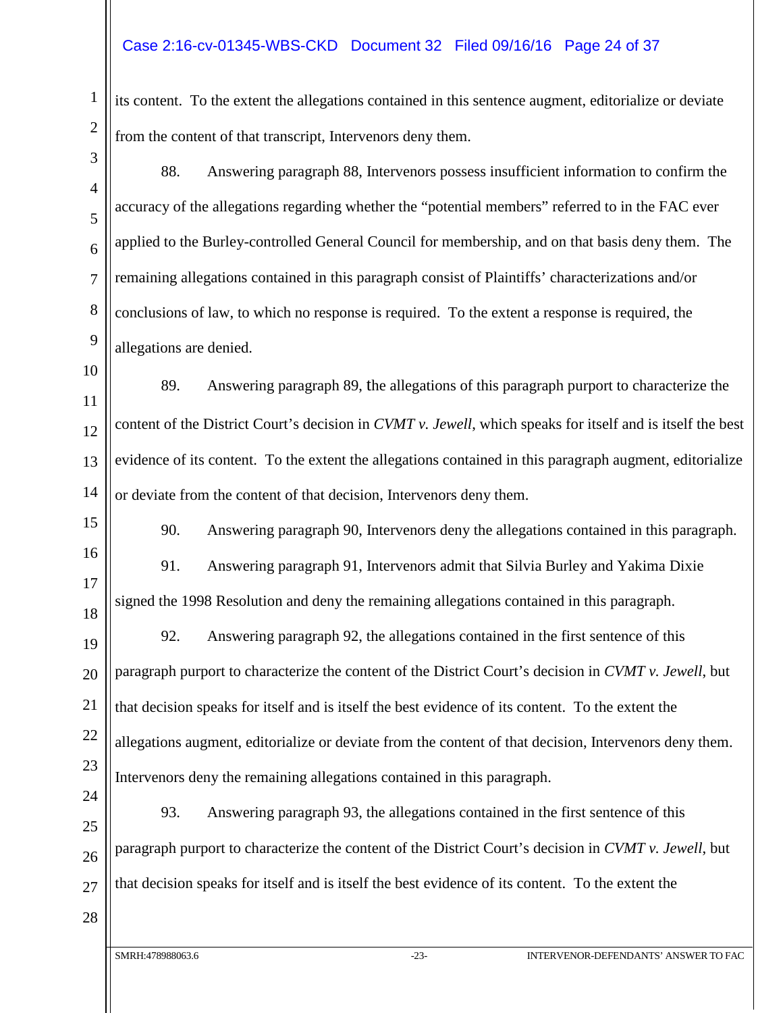#### Case 2:16-cv-01345-WBS-CKD Document 32 Filed 09/16/16 Page 24 of 37

its content. To the extent the allegations contained in this sentence augment, editorialize or deviate from the content of that transcript, Intervenors deny them.

3 4

5

6

7

8

9

1

2

88. Answering paragraph 88, Intervenors possess insufficient information to confirm the accuracy of the allegations regarding whether the "potential members" referred to in the FAC ever applied to the Burley-controlled General Council for membership, and on that basis deny them. The remaining allegations contained in this paragraph consist of Plaintiffs' characterizations and/or conclusions of law, to which no response is required. To the extent a response is required, the allegations are denied.

10 11 12 13 14 89. Answering paragraph 89, the allegations of this paragraph purport to characterize the content of the District Court's decision in *CVMT v. Jewell*, which speaks for itself and is itself the best evidence of its content. To the extent the allegations contained in this paragraph augment, editorialize or deviate from the content of that decision, Intervenors deny them.

15 16

17

18

90. Answering paragraph 90, Intervenors deny the allegations contained in this paragraph.

91. Answering paragraph 91, Intervenors admit that Silvia Burley and Yakima Dixie signed the 1998 Resolution and deny the remaining allegations contained in this paragraph.

19 20 21 22 23 24 92. Answering paragraph 92, the allegations contained in the first sentence of this paragraph purport to characterize the content of the District Court's decision in *CVMT v. Jewell*, but that decision speaks for itself and is itself the best evidence of its content. To the extent the allegations augment, editorialize or deviate from the content of that decision, Intervenors deny them. Intervenors deny the remaining allegations contained in this paragraph.

25 26 27 93. Answering paragraph 93, the allegations contained in the first sentence of this paragraph purport to characterize the content of the District Court's decision in *CVMT v. Jewell*, but that decision speaks for itself and is itself the best evidence of its content. To the extent the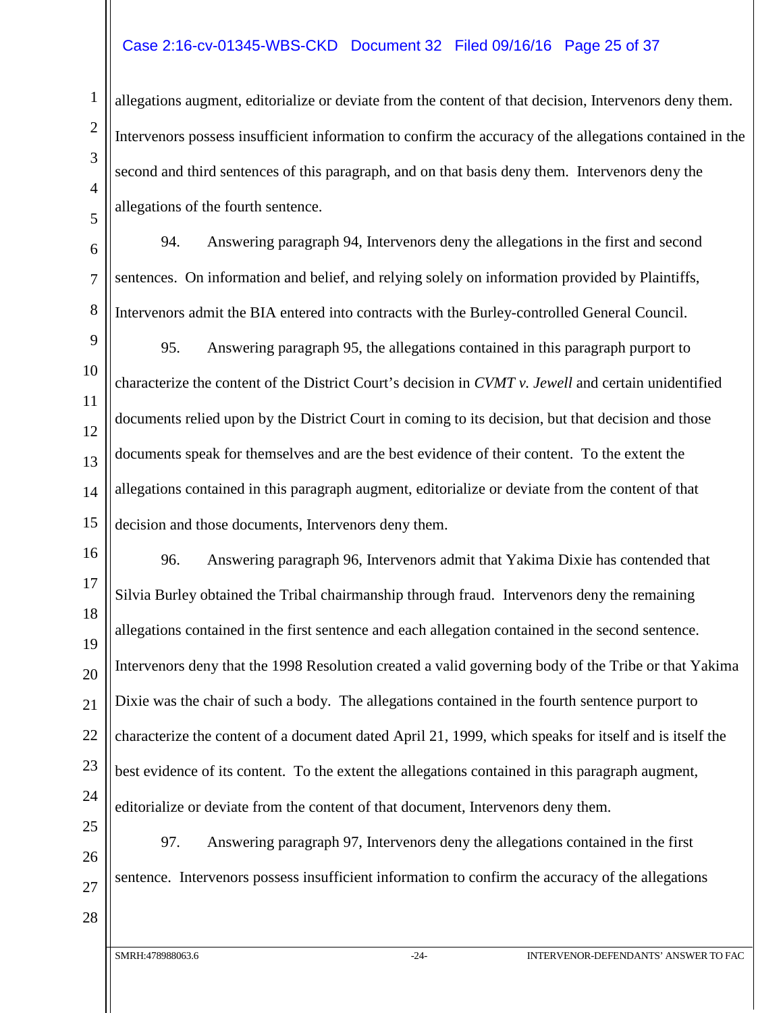#### Case 2:16-cv-01345-WBS-CKD Document 32 Filed 09/16/16 Page 25 of 37

allegations augment, editorialize or deviate from the content of that decision, Intervenors deny them. Intervenors possess insufficient information to confirm the accuracy of the allegations contained in the second and third sentences of this paragraph, and on that basis deny them. Intervenors deny the allegations of the fourth sentence.

94. Answering paragraph 94, Intervenors deny the allegations in the first and second sentences. On information and belief, and relying solely on information provided by Plaintiffs, Intervenors admit the BIA entered into contracts with the Burley-controlled General Council.

95. Answering paragraph 95, the allegations contained in this paragraph purport to characterize the content of the District Court's decision in *CVMT v. Jewell* and certain unidentified documents relied upon by the District Court in coming to its decision, but that decision and those documents speak for themselves and are the best evidence of their content. To the extent the allegations contained in this paragraph augment, editorialize or deviate from the content of that decision and those documents, Intervenors deny them.

96. Answering paragraph 96, Intervenors admit that Yakima Dixie has contended that Silvia Burley obtained the Tribal chairmanship through fraud. Intervenors deny the remaining allegations contained in the first sentence and each allegation contained in the second sentence. Intervenors deny that the 1998 Resolution created a valid governing body of the Tribe or that Yakima Dixie was the chair of such a body. The allegations contained in the fourth sentence purport to characterize the content of a document dated April 21, 1999, which speaks for itself and is itself the best evidence of its content. To the extent the allegations contained in this paragraph augment, editorialize or deviate from the content of that document, Intervenors deny them.

97. Answering paragraph 97, Intervenors deny the allegations contained in the first sentence. Intervenors possess insufficient information to confirm the accuracy of the allegations

27

28

1

2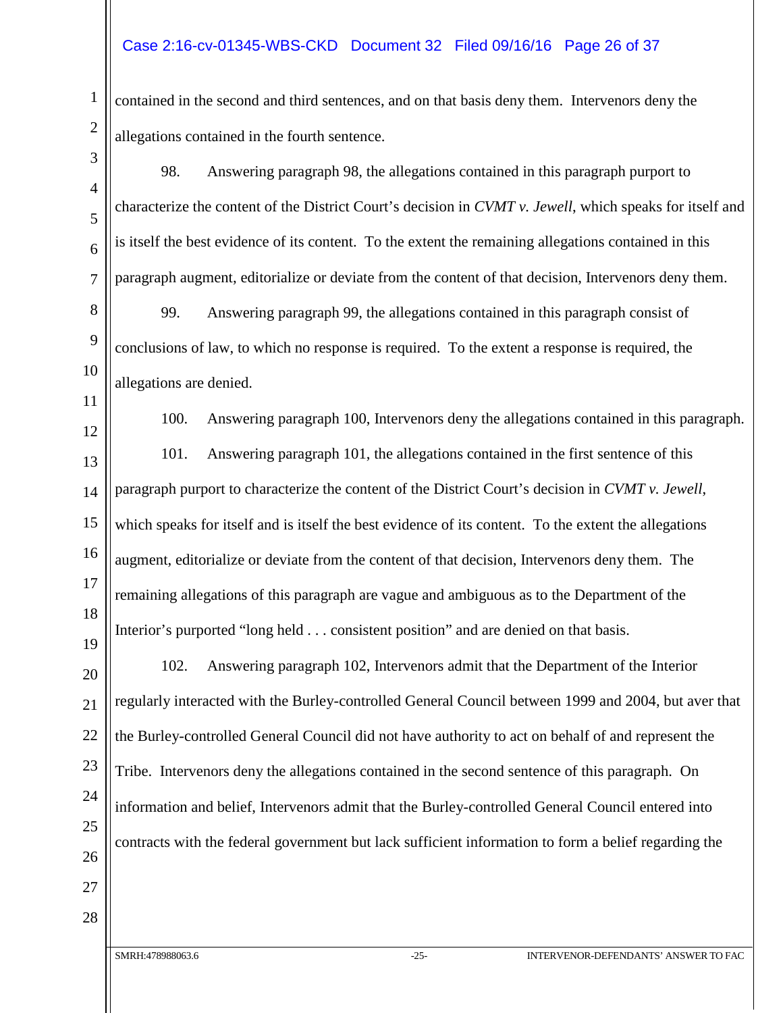#### Case 2:16-cv-01345-WBS-CKD Document 32 Filed 09/16/16 Page 26 of 37

contained in the second and third sentences, and on that basis deny them. Intervenors deny the allegations contained in the fourth sentence.

98. Answering paragraph 98, the allegations contained in this paragraph purport to characterize the content of the District Court's decision in *CVMT v. Jewell*, which speaks for itself and is itself the best evidence of its content. To the extent the remaining allegations contained in this paragraph augment, editorialize or deviate from the content of that decision, Intervenors deny them.

8 9 10 99. Answering paragraph 99, the allegations contained in this paragraph consist of conclusions of law, to which no response is required. To the extent a response is required, the allegations are denied.

12

11

13

14

15

16

17

18

19

27

28

1

2

3

4

5

6

7

100. Answering paragraph 100, Intervenors deny the allegations contained in this paragraph. 101. Answering paragraph 101, the allegations contained in the first sentence of this paragraph purport to characterize the content of the District Court's decision in *CVMT v. Jewell*, which speaks for itself and is itself the best evidence of its content. To the extent the allegations augment, editorialize or deviate from the content of that decision, Intervenors deny them. The remaining allegations of this paragraph are vague and ambiguous as to the Department of the Interior's purported "long held . . . consistent position" and are denied on that basis.

20 21 22 23 24 25 26 102. Answering paragraph 102, Intervenors admit that the Department of the Interior regularly interacted with the Burley-controlled General Council between 1999 and 2004, but aver that the Burley-controlled General Council did not have authority to act on behalf of and represent the Tribe. Intervenors deny the allegations contained in the second sentence of this paragraph. On information and belief, Intervenors admit that the Burley-controlled General Council entered into contracts with the federal government but lack sufficient information to form a belief regarding the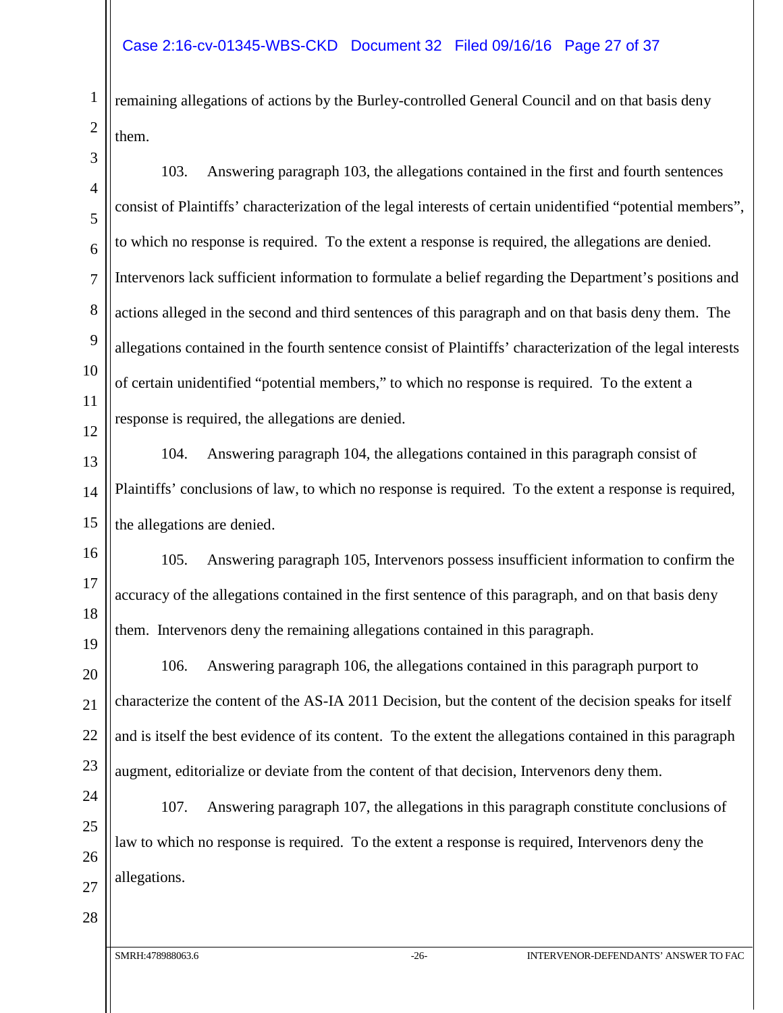remaining allegations of actions by the Burley-controlled General Council and on that basis deny them.

103. Answering paragraph 103, the allegations contained in the first and fourth sentences consist of Plaintiffs' characterization of the legal interests of certain unidentified "potential members", to which no response is required. To the extent a response is required, the allegations are denied. Intervenors lack sufficient information to formulate a belief regarding the Department's positions and actions alleged in the second and third sentences of this paragraph and on that basis deny them. The allegations contained in the fourth sentence consist of Plaintiffs' characterization of the legal interests of certain unidentified "potential members," to which no response is required. To the extent a response is required, the allegations are denied.

13 14 15 104. Answering paragraph 104, the allegations contained in this paragraph consist of Plaintiffs' conclusions of law, to which no response is required. To the extent a response is required, the allegations are denied.

105. Answering paragraph 105, Intervenors possess insufficient information to confirm the accuracy of the allegations contained in the first sentence of this paragraph, and on that basis deny them. Intervenors deny the remaining allegations contained in this paragraph.

20 21 22 23 106. Answering paragraph 106, the allegations contained in this paragraph purport to characterize the content of the AS-IA 2011 Decision, but the content of the decision speaks for itself and is itself the best evidence of its content. To the extent the allegations contained in this paragraph augment, editorialize or deviate from the content of that decision, Intervenors deny them.

24 25 107. Answering paragraph 107, the allegations in this paragraph constitute conclusions of law to which no response is required. To the extent a response is required, Intervenors deny the allegations.

26 27 28

1

2

3

4

5

6

7

8

9

10

11

12

16

17

18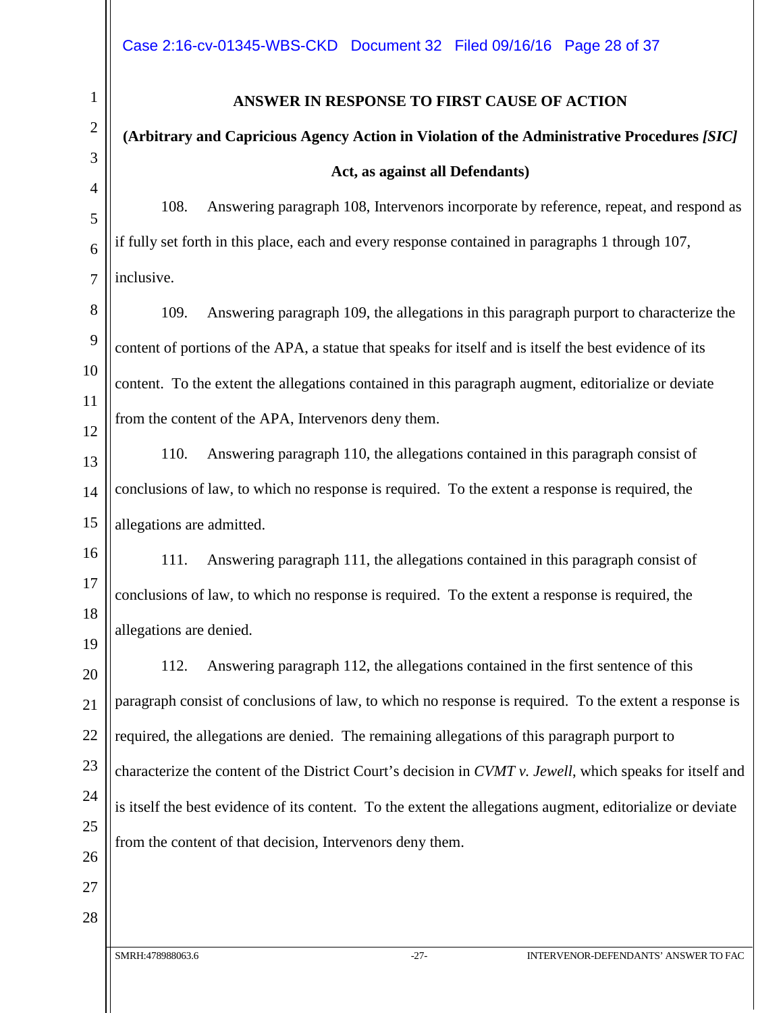#### **ANSWER IN RESPONSE TO FIRST CAUSE OF ACTION**

### **(Arbitrary and Capricious Agency Action in Violation of the Administrative Procedures** *[SIC]* **Act, as against all Defendants)**

108. Answering paragraph 108, Intervenors incorporate by reference, repeat, and respond as if fully set forth in this place, each and every response contained in paragraphs 1 through 107, inclusive.

109. Answering paragraph 109, the allegations in this paragraph purport to characterize the content of portions of the APA, a statue that speaks for itself and is itself the best evidence of its content. To the extent the allegations contained in this paragraph augment, editorialize or deviate from the content of the APA, Intervenors deny them.

110. Answering paragraph 110, the allegations contained in this paragraph consist of conclusions of law, to which no response is required. To the extent a response is required, the allegations are admitted.

111. Answering paragraph 111, the allegations contained in this paragraph consist of conclusions of law, to which no response is required. To the extent a response is required, the allegations are denied.

112. Answering paragraph 112, the allegations contained in the first sentence of this paragraph consist of conclusions of law, to which no response is required. To the extent a response is required, the allegations are denied. The remaining allegations of this paragraph purport to characterize the content of the District Court's decision in *CVMT v. Jewell*, which speaks for itself and is itself the best evidence of its content. To the extent the allegations augment, editorialize or deviate from the content of that decision, Intervenors deny them.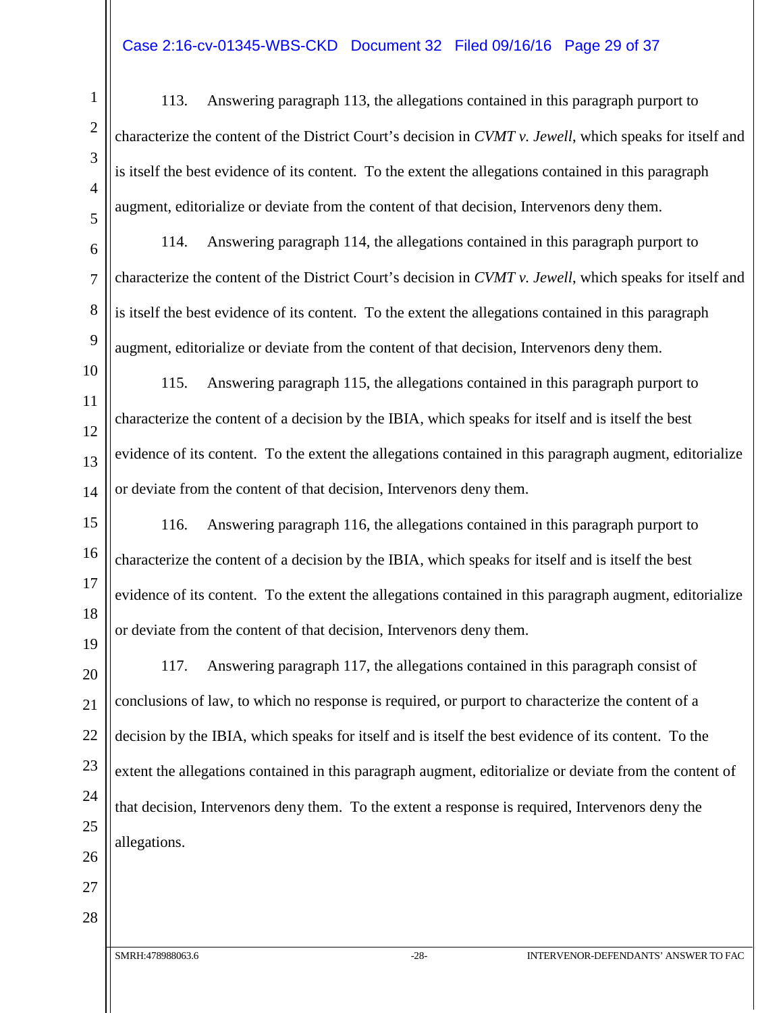#### Case 2:16-cv-01345-WBS-CKD Document 32 Filed 09/16/16 Page 29 of 37

113. Answering paragraph 113, the allegations contained in this paragraph purport to characterize the content of the District Court's decision in *CVMT v. Jewell*, which speaks for itself and is itself the best evidence of its content. To the extent the allegations contained in this paragraph augment, editorialize or deviate from the content of that decision, Intervenors deny them.

114. Answering paragraph 114, the allegations contained in this paragraph purport to characterize the content of the District Court's decision in *CVMT v. Jewell*, which speaks for itself and is itself the best evidence of its content. To the extent the allegations contained in this paragraph augment, editorialize or deviate from the content of that decision, Intervenors deny them.

115. Answering paragraph 115, the allegations contained in this paragraph purport to characterize the content of a decision by the IBIA, which speaks for itself and is itself the best evidence of its content. To the extent the allegations contained in this paragraph augment, editorialize or deviate from the content of that decision, Intervenors deny them.

116. Answering paragraph 116, the allegations contained in this paragraph purport to characterize the content of a decision by the IBIA, which speaks for itself and is itself the best evidence of its content. To the extent the allegations contained in this paragraph augment, editorialize or deviate from the content of that decision, Intervenors deny them.

117. Answering paragraph 117, the allegations contained in this paragraph consist of conclusions of law, to which no response is required, or purport to characterize the content of a decision by the IBIA, which speaks for itself and is itself the best evidence of its content. To the extent the allegations contained in this paragraph augment, editorialize or deviate from the content of that decision, Intervenors deny them. To the extent a response is required, Intervenors deny the allegations.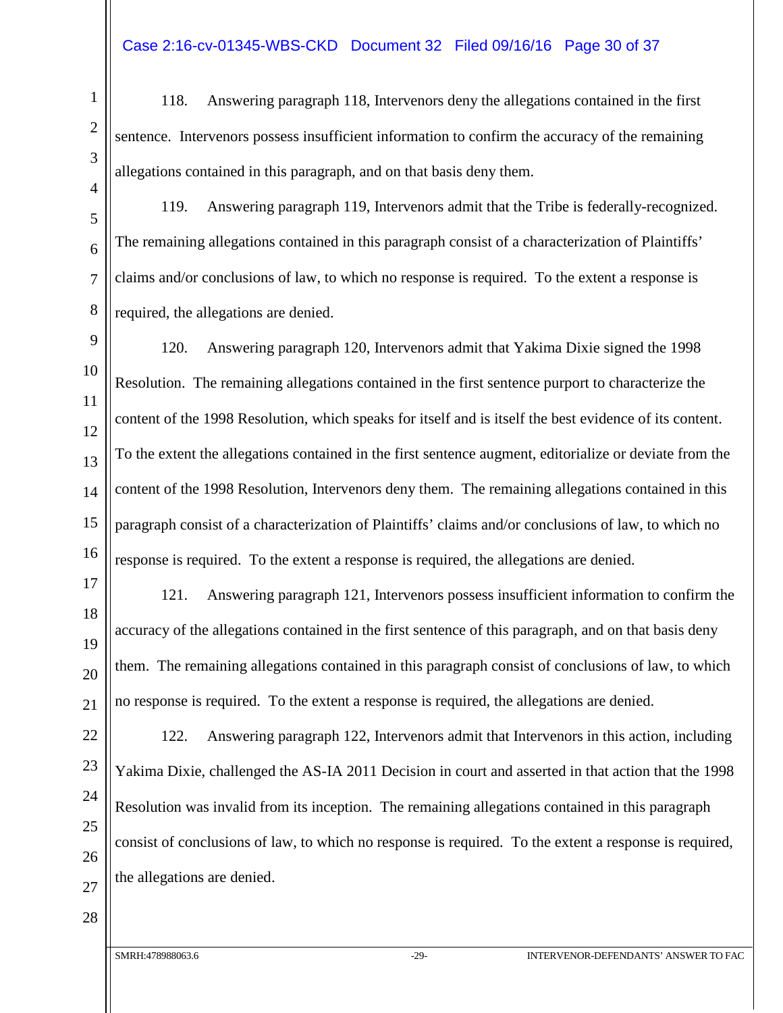118. Answering paragraph 118, Intervenors deny the allegations contained in the first sentence. Intervenors possess insufficient information to confirm the accuracy of the remaining allegations contained in this paragraph, and on that basis deny them.

119. Answering paragraph 119, Intervenors admit that the Tribe is federally-recognized. The remaining allegations contained in this paragraph consist of a characterization of Plaintiffs' claims and/or conclusions of law, to which no response is required. To the extent a response is required, the allegations are denied.

120. Answering paragraph 120, Intervenors admit that Yakima Dixie signed the 1998 Resolution. The remaining allegations contained in the first sentence purport to characterize the content of the 1998 Resolution, which speaks for itself and is itself the best evidence of its content. To the extent the allegations contained in the first sentence augment, editorialize or deviate from the content of the 1998 Resolution, Intervenors deny them. The remaining allegations contained in this paragraph consist of a characterization of Plaintiffs' claims and/or conclusions of law, to which no response is required. To the extent a response is required, the allegations are denied.

121. Answering paragraph 121, Intervenors possess insufficient information to confirm the accuracy of the allegations contained in the first sentence of this paragraph, and on that basis deny them. The remaining allegations contained in this paragraph consist of conclusions of law, to which no response is required. To the extent a response is required, the allegations are denied.

122. Answering paragraph 122, Intervenors admit that Intervenors in this action, including Yakima Dixie, challenged the AS-IA 2011 Decision in court and asserted in that action that the 1998 Resolution was invalid from its inception. The remaining allegations contained in this paragraph consist of conclusions of law, to which no response is required. To the extent a response is required, the allegations are denied.

27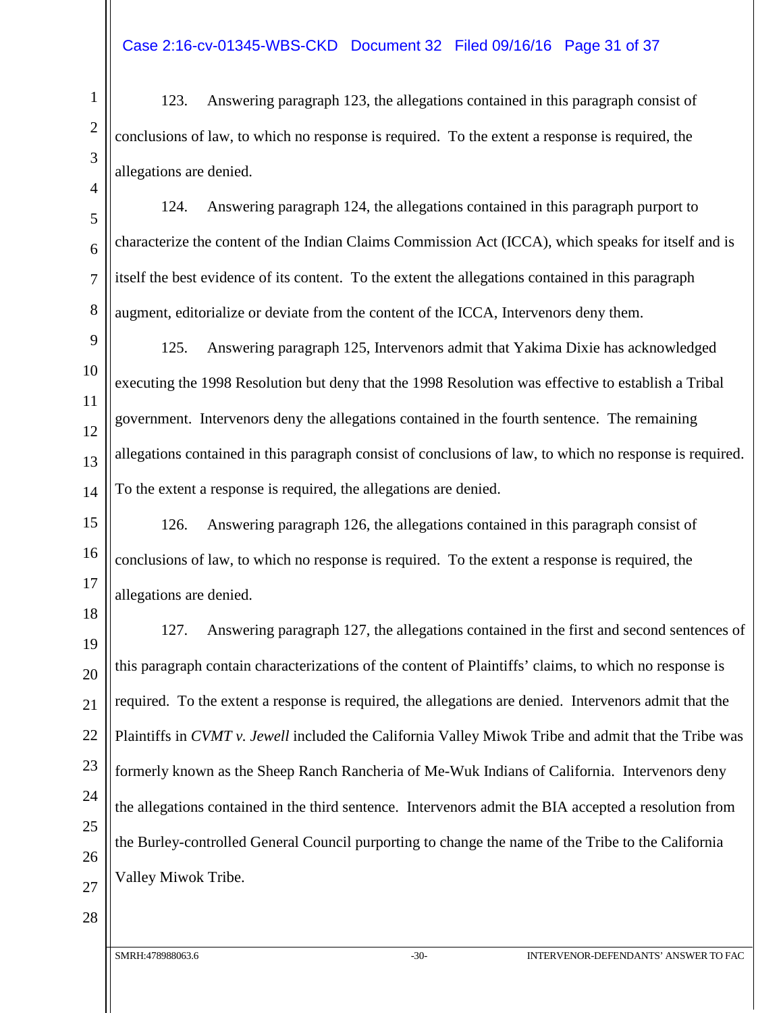123. Answering paragraph 123, the allegations contained in this paragraph consist of conclusions of law, to which no response is required. To the extent a response is required, the allegations are denied.

124. Answering paragraph 124, the allegations contained in this paragraph purport to characterize the content of the Indian Claims Commission Act (ICCA), which speaks for itself and is itself the best evidence of its content. To the extent the allegations contained in this paragraph augment, editorialize or deviate from the content of the ICCA, Intervenors deny them.

125. Answering paragraph 125, Intervenors admit that Yakima Dixie has acknowledged executing the 1998 Resolution but deny that the 1998 Resolution was effective to establish a Tribal government. Intervenors deny the allegations contained in the fourth sentence. The remaining allegations contained in this paragraph consist of conclusions of law, to which no response is required. To the extent a response is required, the allegations are denied.

126. Answering paragraph 126, the allegations contained in this paragraph consist of conclusions of law, to which no response is required. To the extent a response is required, the allegations are denied.

127. Answering paragraph 127, the allegations contained in the first and second sentences of this paragraph contain characterizations of the content of Plaintiffs' claims, to which no response is required. To the extent a response is required, the allegations are denied. Intervenors admit that the Plaintiffs in *CVMT v. Jewell* included the California Valley Miwok Tribe and admit that the Tribe was formerly known as the Sheep Ranch Rancheria of Me-Wuk Indians of California. Intervenors deny the allegations contained in the third sentence. Intervenors admit the BIA accepted a resolution from the Burley-controlled General Council purporting to change the name of the Tribe to the California Valley Miwok Tribe.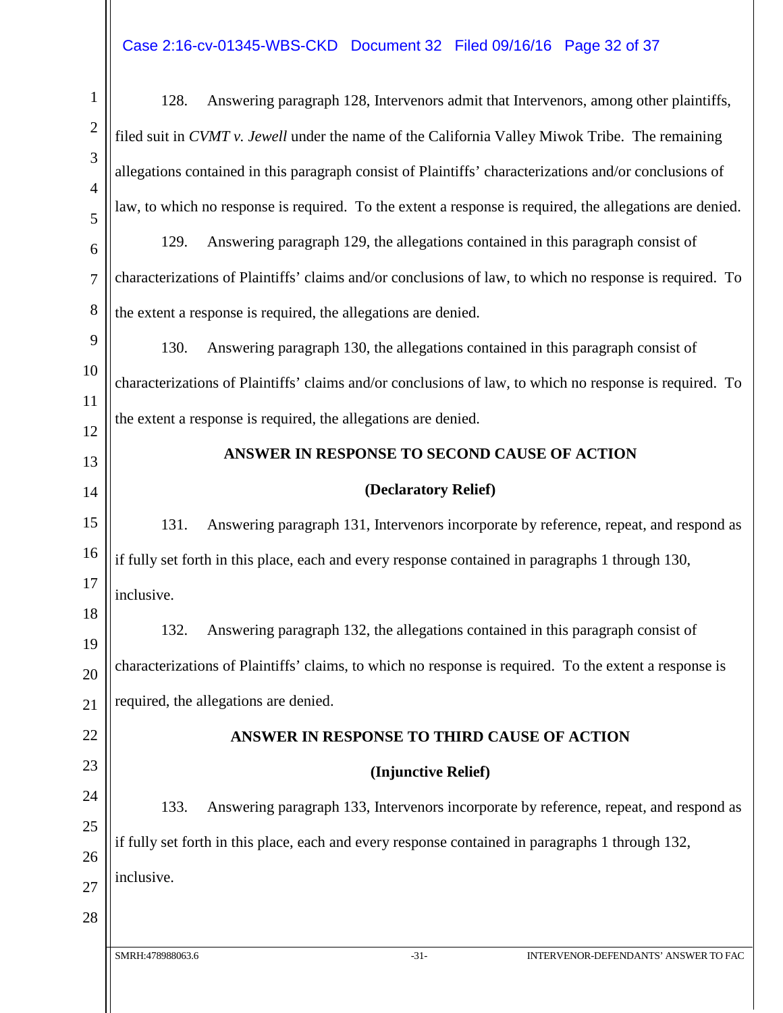## Case 2:16-cv-01345-WBS-CKD Document 32 Filed 09/16/16 Page 32 of 37

| $\mathbf{1}$        | Answering paragraph 128, Intervenors admit that Intervenors, among other plaintiffs,<br>128.             |  |  |
|---------------------|----------------------------------------------------------------------------------------------------------|--|--|
| $\overline{2}$      | filed suit in CVMT v. Jewell under the name of the California Valley Miwok Tribe. The remaining          |  |  |
| 3                   | allegations contained in this paragraph consist of Plaintiffs' characterizations and/or conclusions of   |  |  |
| $\overline{4}$<br>5 | law, to which no response is required. To the extent a response is required, the allegations are denied. |  |  |
| 6                   | Answering paragraph 129, the allegations contained in this paragraph consist of<br>129.                  |  |  |
| $\overline{7}$      | characterizations of Plaintiffs' claims and/or conclusions of law, to which no response is required. To  |  |  |
| 8                   | the extent a response is required, the allegations are denied.                                           |  |  |
| 9                   | 130.<br>Answering paragraph 130, the allegations contained in this paragraph consist of                  |  |  |
| 10                  | characterizations of Plaintiffs' claims and/or conclusions of law, to which no response is required. To  |  |  |
| 11                  | the extent a response is required, the allegations are denied.                                           |  |  |
| 12<br>13            | ANSWER IN RESPONSE TO SECOND CAUSE OF ACTION                                                             |  |  |
| 14                  | (Declaratory Relief)                                                                                     |  |  |
| 15                  | 131.<br>Answering paragraph 131, Intervenors incorporate by reference, repeat, and respond as            |  |  |
| 16                  | if fully set forth in this place, each and every response contained in paragraphs 1 through 130,         |  |  |
| 17                  | inclusive.                                                                                               |  |  |
| 18                  | 132.<br>Answering paragraph 132, the allegations contained in this paragraph consist of                  |  |  |
| 19<br>20            | characterizations of Plaintiffs' claims, to which no response is required. To the extent a response is   |  |  |
| 21                  | required, the allegations are denied.                                                                    |  |  |
| 22                  | ANSWER IN RESPONSE TO THIRD CAUSE OF ACTION                                                              |  |  |
| 23                  | (Injunctive Relief)                                                                                      |  |  |
| 24                  | Answering paragraph 133, Intervenors incorporate by reference, repeat, and respond as<br>133.            |  |  |
| 25                  |                                                                                                          |  |  |
| 26                  | if fully set forth in this place, each and every response contained in paragraphs 1 through 132,         |  |  |
| 27                  | inclusive.                                                                                               |  |  |
| 28                  |                                                                                                          |  |  |
|                     | SMRH:478988063.6<br>$-31-$<br>INTERVENOR-DEFENDANTS' ANSWER TO FAC                                       |  |  |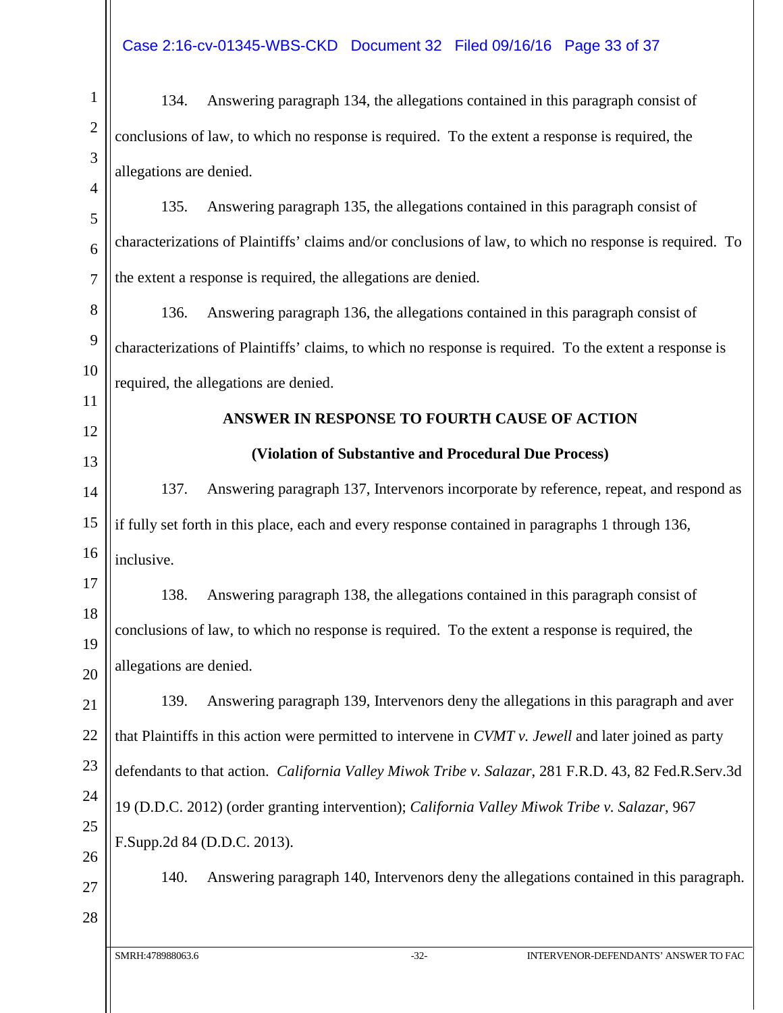1 2 3 4 5 6 7 8 9 10 11 12 13 14 15 16 17 18 19 20 21 22 23 24 25 26 27 28 134. Answering paragraph 134, the allegations contained in this paragraph consist of conclusions of law, to which no response is required. To the extent a response is required, the allegations are denied. 135. Answering paragraph 135, the allegations contained in this paragraph consist of characterizations of Plaintiffs' claims and/or conclusions of law, to which no response is required. To the extent a response is required, the allegations are denied. 136. Answering paragraph 136, the allegations contained in this paragraph consist of characterizations of Plaintiffs' claims, to which no response is required. To the extent a response is required, the allegations are denied. **ANSWER IN RESPONSE TO FOURTH CAUSE OF ACTION (Violation of Substantive and Procedural Due Process)** 137. Answering paragraph 137, Intervenors incorporate by reference, repeat, and respond as if fully set forth in this place, each and every response contained in paragraphs 1 through 136, inclusive. 138. Answering paragraph 138, the allegations contained in this paragraph consist of conclusions of law, to which no response is required. To the extent a response is required, the allegations are denied. 139. Answering paragraph 139, Intervenors deny the allegations in this paragraph and aver that Plaintiffs in this action were permitted to intervene in *CVMT v. Jewell* and later joined as party defendants to that action. *California Valley Miwok Tribe v. Salazar*, 281 F.R.D. 43, 82 Fed.R.Serv.3d 19 (D.D.C. 2012) (order granting intervention); *California Valley Miwok Tribe v. Salazar*, 967 F.Supp.2d 84 (D.D.C. 2013). 140. Answering paragraph 140, Intervenors deny the allegations contained in this paragraph.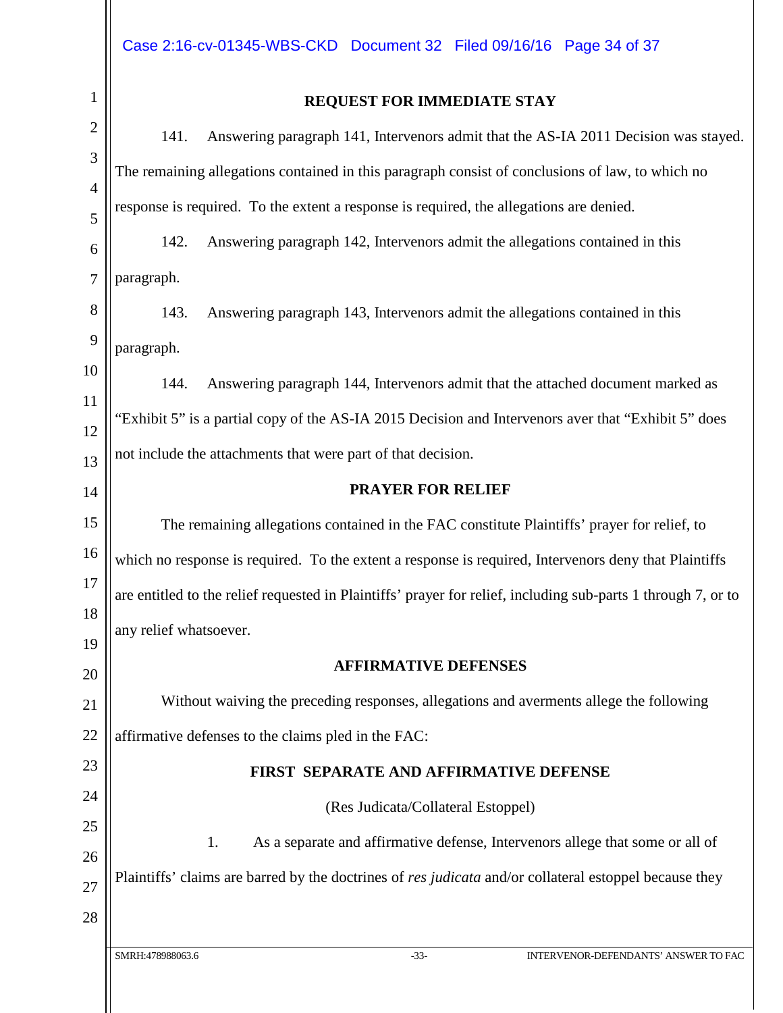| 1               |   |
|-----------------|---|
|                 |   |
|                 |   |
| 1               |   |
|                 |   |
| 6               |   |
|                 |   |
|                 |   |
| $\mathbf$       | I |
| ΙC              | ) |
| $\overline{11}$ |   |
| l               |   |
| l               |   |
| l               |   |
| 1               |   |
| 16              |   |
| $1^{\circ}$     |   |
| 1<br>8          |   |
| 19              |   |
| $20\,$          |   |
| $\overline{21}$ |   |
| $\overline{22}$ |   |
| 23              |   |
| 24              |   |
| 25              |   |
| 26              |   |

#### **REQUEST FOR IMMEDIATE STAY**

141. Answering paragraph 141, Intervenors admit that the AS-IA 2011 Decision was stayed. The remaining allegations contained in this paragraph consist of conclusions of law, to which no response is required. To the extent a response is required, the allegations are denied.

142. Answering paragraph 142, Intervenors admit the allegations contained in this paragraph.

143. Answering paragraph 143, Intervenors admit the allegations contained in this paragraph.

144. Answering paragraph 144, Intervenors admit that the attached document marked as "Exhibit 5" is a partial copy of the AS-IA 2015 Decision and Intervenors aver that "Exhibit 5" does not include the attachments that were part of that decision.

#### **PRAYER FOR RELIEF**

The remaining allegations contained in the FAC constitute Plaintiffs' prayer for relief, to which no response is required. To the extent a response is required, Intervenors deny that Plaintiffs are entitled to the relief requested in Plaintiffs' prayer for relief, including sub-parts 1 through 7, or to any relief whatsoever.

#### **AFFIRMATIVE DEFENSES**

Without waiving the preceding responses, allegations and averments allege the following affirmative defenses to the claims pled in the FAC:

### **FIRST SEPARATE AND AFFIRMATIVE DEFENSE**

(Res Judicata/Collateral Estoppel)

1. As a separate and affirmative defense, Intervenors allege that some or all of

Plaintiffs' claims are barred by the doctrines of *res judicata* and/or collateral estoppel because they

27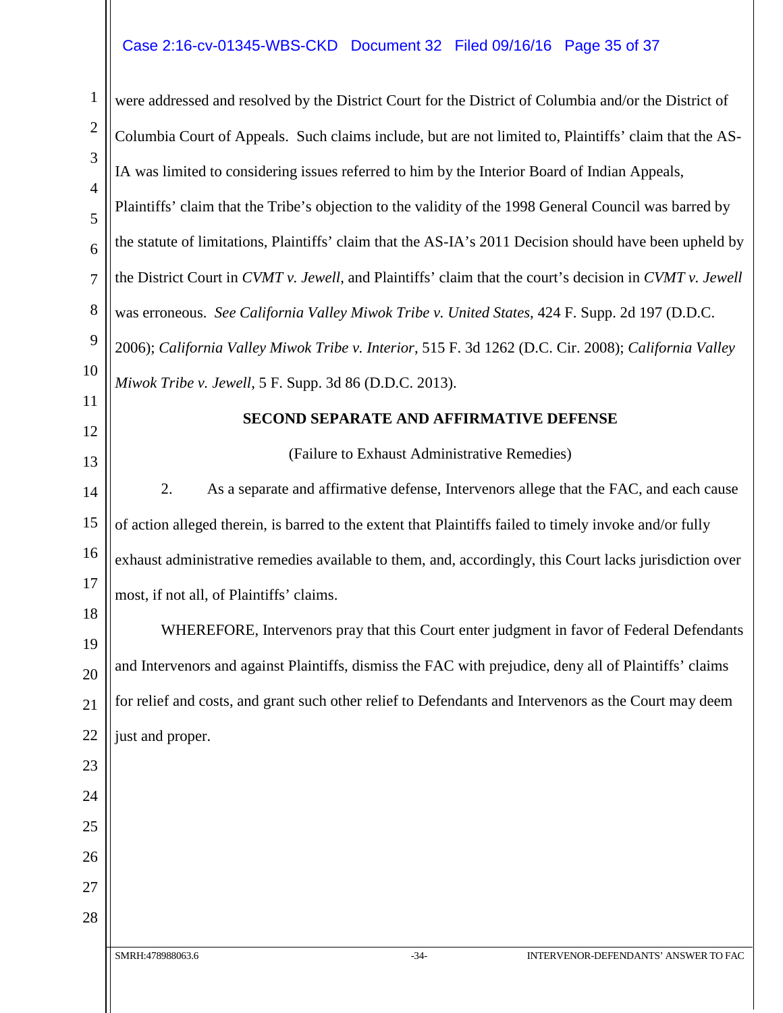#### Case 2:16-cv-01345-WBS-CKD Document 32 Filed 09/16/16 Page 35 of 37

SMRH:478988063.6 -34- INTERVENOR-DEFENDANTS' ANSWER TO FAC 1 2 3 4 5 6 7 8 9 10 11 12 13 14 15 16 17 18 19 20 21 22 23 24 25 26 27 28 were addressed and resolved by the District Court for the District of Columbia and/or the District of Columbia Court of Appeals. Such claims include, but are not limited to, Plaintiffs' claim that the AS-IA was limited to considering issues referred to him by the Interior Board of Indian Appeals, Plaintiffs' claim that the Tribe's objection to the validity of the 1998 General Council was barred by the statute of limitations, Plaintiffs' claim that the AS-IA's 2011 Decision should have been upheld by the District Court in *CVMT v. Jewell*, and Plaintiffs' claim that the court's decision in *CVMT v. Jewell* was erroneous. *See California Valley Miwok Tribe v. United States*, 424 F. Supp. 2d 197 (D.D.C. 2006); *California Valley Miwok Tribe v. Interior*, 515 F. 3d 1262 (D.C. Cir. 2008); *California Valley Miwok Tribe v. Jewell*, 5 F. Supp. 3d 86 (D.D.C. 2013). **SECOND SEPARATE AND AFFIRMATIVE DEFENSE** (Failure to Exhaust Administrative Remedies) 2. As a separate and affirmative defense, Intervenors allege that the FAC, and each cause of action alleged therein, is barred to the extent that Plaintiffs failed to timely invoke and/or fully exhaust administrative remedies available to them, and, accordingly, this Court lacks jurisdiction over most, if not all, of Plaintiffs' claims. WHEREFORE, Intervenors pray that this Court enter judgment in favor of Federal Defendants and Intervenors and against Plaintiffs, dismiss the FAC with prejudice, deny all of Plaintiffs' claims for relief and costs, and grant such other relief to Defendants and Intervenors as the Court may deem just and proper.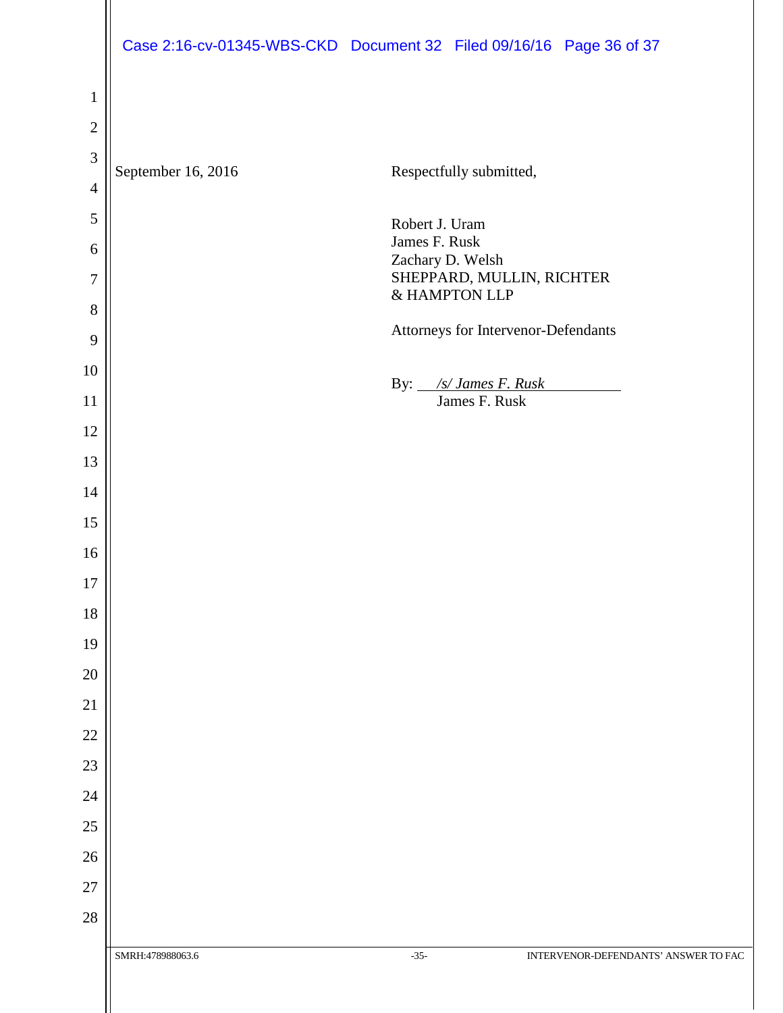|                |                    | Case 2:16-cv-01345-WBS-CKD Document 32 Filed 09/16/16 Page 36 of 37 |
|----------------|--------------------|---------------------------------------------------------------------|
|                |                    |                                                                     |
| $\mathbf{1}$   |                    |                                                                     |
| $\overline{2}$ |                    |                                                                     |
| 3              | September 16, 2016 | Respectfully submitted,                                             |
| $\overline{4}$ |                    |                                                                     |
| $\sqrt{5}$     |                    | Robert J. Uram<br>James F. Rusk                                     |
| 6              |                    | Zachary D. Welsh                                                    |
| 7              |                    | SHEPPARD, MULLIN, RICHTER<br>& HAMPTON LLP                          |
| 8              |                    | Attorneys for Intervenor-Defendants                                 |
| 9<br>10        |                    |                                                                     |
| 11             |                    | By: <u>/s/James F. Rusk</u><br>James F. Rusk                        |
| 12             |                    |                                                                     |
| 13             |                    |                                                                     |
| 14             |                    |                                                                     |
| 15             |                    |                                                                     |
| 16             |                    |                                                                     |
| 17             |                    |                                                                     |
| 18             |                    |                                                                     |
| 19             |                    |                                                                     |
| $20\,$         |                    |                                                                     |
| 21             |                    |                                                                     |
| $22\,$         |                    |                                                                     |
| $23\,$         |                    |                                                                     |
| $24\,$         |                    |                                                                     |
| $25\,$         |                    |                                                                     |
| $26\,$         |                    |                                                                     |
| 27             |                    |                                                                     |
| $28\,$         |                    |                                                                     |
|                | SMRH:478988063.6   | $-35-$<br>INTERVENOR-DEFENDANTS' ANSWER TO FAC                      |
|                |                    |                                                                     |
|                |                    |                                                                     |